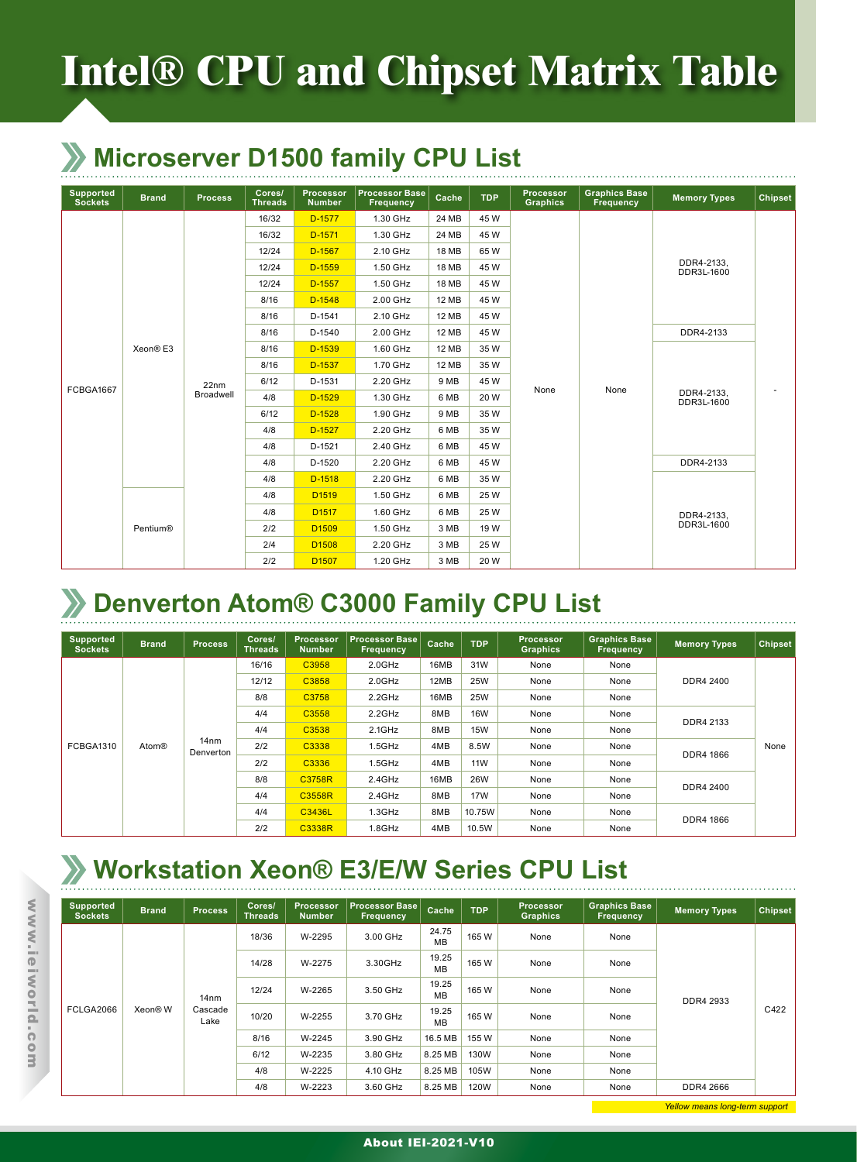# **Intel® CPU and Chipset Matrix Table**

#### **Microserver D1500 family CPU List**

| Supported<br><b>Sockets</b> | <b>Brand</b>         | <b>Process</b> | Cores/<br><b>Threads</b> | Processor<br><b>Number</b> | <b>Processor Base</b><br><b>Frequency</b> | Cache        | <b>TDP</b> | <b>Processor</b><br><b>Graphics</b> | <b>Graphics Base</b><br><b>Frequency</b> | <b>Memory Types</b>                                                                                        | <b>Chipset</b>           |
|-----------------------------|----------------------|----------------|--------------------------|----------------------------|-------------------------------------------|--------------|------------|-------------------------------------|------------------------------------------|------------------------------------------------------------------------------------------------------------|--------------------------|
|                             |                      |                | 16/32                    | D-1577                     | 1.30 GHz                                  | 24 MB        | 45 W       |                                     |                                          |                                                                                                            |                          |
|                             |                      |                | 16/32                    | D-1571                     | 1.30 GHz                                  | 24 MB        | 45 W       |                                     |                                          |                                                                                                            |                          |
|                             |                      |                | 12/24                    | D-1567                     | 2.10 GHz                                  | 18 MB        | 65W        |                                     |                                          |                                                                                                            |                          |
|                             |                      |                | 12/24                    | D-1559                     | 1.50 GHz                                  | <b>18 MB</b> | 45 W       |                                     |                                          |                                                                                                            |                          |
|                             |                      |                | 12/24                    | D-1557                     | 1.50 GHz                                  | 18 MB        | 45 W       |                                     |                                          |                                                                                                            |                          |
|                             |                      |                | 8/16                     | $D-1548$                   | 2.00 GHz                                  | <b>12 MB</b> | 45 W       |                                     |                                          | DDR4-2133.<br>DDR3L-1600<br>DDR4-2133<br>DDR4-2133.<br>DDR3L-1600<br>DDR4-2133<br>DDR4-2133,<br>DDR3L-1600 |                          |
|                             |                      |                | 8/16                     | D-1541                     | 2.10 GHz                                  | <b>12 MB</b> | 45 W       |                                     |                                          |                                                                                                            |                          |
|                             |                      |                | 8/16                     | D-1540                     | 2.00 GHz                                  | 12 MB        | 45 W       |                                     |                                          |                                                                                                            |                          |
|                             | Xeon <sup>®</sup> E3 |                | 8/16                     | D-1539                     | 1.60 GHz                                  | 12 MB        | 35W        |                                     |                                          |                                                                                                            |                          |
|                             |                      |                | 8/16                     | D-1537                     | 1.70 GHz                                  | <b>12 MB</b> | 35W        |                                     |                                          |                                                                                                            |                          |
|                             |                      | 22nm           | 6/12                     | D-1531                     | 2.20 GHz                                  | 9 MB         | 45 W       |                                     |                                          |                                                                                                            |                          |
| FCBGA1667                   |                      | Broadwell      | 4/8                      | $D-1529$                   | 1.30 GHz                                  | 6 MB         | 20 W       | None                                | None                                     |                                                                                                            | $\overline{\phantom{a}}$ |
|                             |                      |                | 6/12                     | $D-1528$                   | 1.90 GHz                                  | 9 MB         | 35 W       |                                     |                                          |                                                                                                            |                          |
|                             |                      |                | 4/8                      | $D-1527$                   | 2.20 GHz                                  | 6 MB         | 35W        |                                     |                                          |                                                                                                            |                          |
|                             |                      |                | 4/8                      | D-1521                     | 2.40 GHz                                  | 6 MB         | 45 W       |                                     |                                          |                                                                                                            |                          |
|                             |                      |                | 4/8                      | D-1520                     | 2.20 GHz                                  | 6 MB         | 45 W       |                                     |                                          |                                                                                                            |                          |
|                             |                      |                | 4/8                      | $D-1518$                   | 2.20 GHz                                  | 6 MB         | 35 W       |                                     |                                          |                                                                                                            |                          |
|                             |                      |                | 4/8                      | D <sub>1519</sub>          | 1.50 GHz                                  | 6 MB         | 25 W       |                                     |                                          |                                                                                                            |                          |
|                             |                      |                | 4/8                      | D <sub>1517</sub>          | 1.60 GHz                                  | 6 MB         | 25 W       |                                     |                                          |                                                                                                            |                          |
|                             | Pentium®             |                | 2/2                      | D <sub>1509</sub>          | 1.50 GHz                                  | 3 MB         | 19 W       |                                     |                                          |                                                                                                            |                          |
|                             |                      |                | 2/4                      | D <sub>1508</sub>          | 2.20 GHz                                  | 3 MB         | 25 W       |                                     |                                          |                                                                                                            |                          |
|                             |                      |                | 2/2                      | D <sub>1507</sub>          | 1.20 GHz                                  | 3 MB         | 20 W       |                                     |                                          |                                                                                                            |                          |

#### **Denverton Atom® C3000 Family CPU List**

| <b>Supported</b><br><b>Sockets</b> | <b>Brand</b> | <b>Process</b>                | Cores/<br><b>Threads</b> | <b>Processor</b><br><b>Number</b> | <b>Processor Base</b><br><b>Frequency</b> | Cache                             | <b>TDP</b>           | <b>Processor</b><br><b>Graphics</b> | <b>Graphics Base</b><br>Frequency | <b>Memory Types</b> | <b>Chipset</b> |
|------------------------------------|--------------|-------------------------------|--------------------------|-----------------------------------|-------------------------------------------|-----------------------------------|----------------------|-------------------------------------|-----------------------------------|---------------------|----------------|
|                                    |              |                               | 16/16                    | C3958                             | $2.0$ GHz                                 | 16MB                              | 31W                  | None                                | None                              |                     |                |
|                                    |              |                               | 12/12                    | C3858                             | $2.0$ GHz                                 | 12MB                              | <b>25W</b>           | None                                | None                              | DDR4 2400           |                |
|                                    |              |                               | 8/8                      | C3758                             | $2.2$ GHz                                 | 16MB                              | 25W                  | None                                | None                              |                     |                |
|                                    |              |                               | 4/4                      | C3558                             | 2.2GHz                                    | 8MB                               | <b>16W</b>           | None                                | None<br>DDR4 2133                 |                     |                |
|                                    |              |                               | 4/4                      | C3538                             | $2.1$ GHz                                 | <b>15W</b><br>8MB<br>None<br>None |                      |                                     |                                   |                     |                |
| FCBGA1310                          | <b>Atom®</b> | 14 <sub>nm</sub><br>Denverton | 2/2                      | C3338                             | $1.5$ GHz                                 | 4MB                               | 8.5W<br>None<br>None |                                     | None                              |                     |                |
|                                    |              |                               | 2/2                      | C3336                             | $1.5$ GHz                                 | 4MB                               | <b>11W</b>           | None                                | None                              | DDR4 1866           |                |
|                                    |              |                               | 8/8                      | C3758R                            | $2.4$ GHz                                 | 16MB                              | <b>26W</b>           | None                                | None                              | DDR4 2400           |                |
|                                    |              |                               | 4/4                      | C3558R                            | 2.4GHz                                    | 8MB                               | <b>17W</b>           | None                                | None                              |                     |                |
|                                    |              |                               | 4/4                      | C3436L                            | $1.3$ GHz                                 | 8MB                               | 10.75W               | None                                | None                              | DDR4 1866           |                |
|                                    |              |                               | 2/2                      | C3338R                            | 1.8GHz                                    | 4MB                               | 10.5W                | None                                | None                              |                     |                |

#### **Workstation Xeon® E3/E/W Series CPU List**

| <b>Supported</b><br><b>Sockets</b> | <b>Brand</b> | <b>Process</b>   | Cores/<br><b>Threads</b> | <b>Processor</b><br><b>Number</b> | <b>Processor Base</b><br><b>Frequency</b> | Cache                                      | <b>TDP</b> | Processor<br><b>Graphics</b>         | <b>Graphics Base</b><br>Frequency | <b>Memory Types</b> | <b>Chipset</b> |
|------------------------------------|--------------|------------------|--------------------------|-----------------------------------|-------------------------------------------|--------------------------------------------|------------|--------------------------------------|-----------------------------------|---------------------|----------------|
|                                    |              |                  | 18/36                    | W-2295                            | 3.00 GHz                                  | 24.75<br><b>MB</b>                         | 165W       | None                                 | None                              |                     |                |
|                                    |              |                  | 14/28                    | W-2275                            | 3.30GHz                                   | 19.25<br><b>MB</b>                         | 165W       | None<br>None<br>165W<br>None<br>None |                                   |                     |                |
|                                    |              | 14 <sub>nm</sub> | 12/24                    | W-2265                            | 3.50 GHz                                  | 19.25<br><b>MB</b>                         |            |                                      | DDR4 2933                         |                     |                |
| FCLGA2066                          | Xeon® W      | Cascade<br>Lake  | 10/20                    | W-2255                            | 3.70 GHz                                  | 19.25<br>165W<br>None<br>None<br><b>MB</b> |            | C422                                 |                                   |                     |                |
|                                    |              |                  | 8/16                     | W-2245                            | 3.90 GHz                                  | 16.5 MB                                    | 155W       | None<br>None                         |                                   |                     |                |
|                                    |              |                  | 6/12                     | W-2235                            | 3.80 GHz                                  | 8.25 MB                                    | 130W       | None                                 | None                              |                     |                |
|                                    |              |                  | 4/8                      | W-2225                            | 4.10 GHz                                  | 8.25 MB                                    | 105W       | None                                 | None                              |                     |                |
|                                    |              |                  | 4/8                      | W-2223                            | 3.60 GHz                                  | 8.25 MB                                    | 120W       | None                                 | None                              | DDR4 2666           |                |

www.ieiworld.com www.ieiworld.com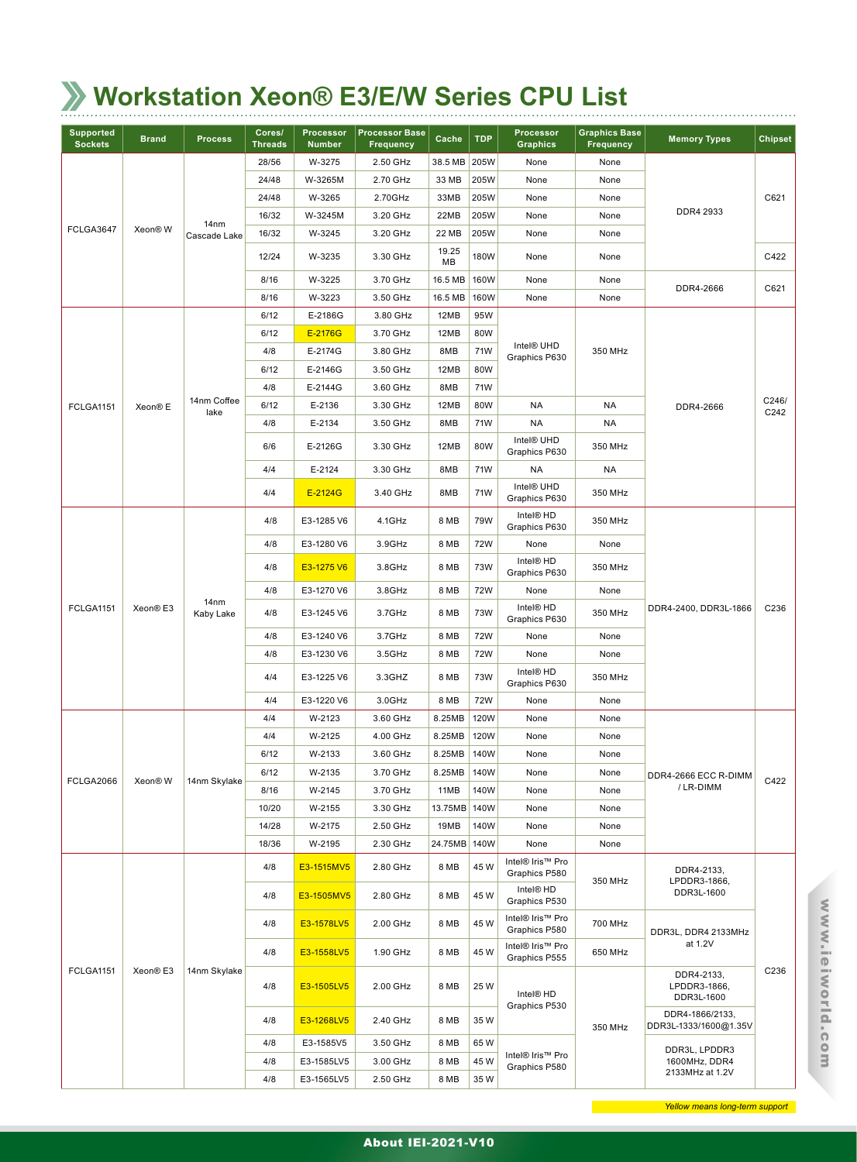# **Workstation Xeon® E3/E/W Series CPU List**

| <b>Supported</b><br><b>Sockets</b> | <b>Brand</b>         | <b>Process</b>                | Cores/<br><b>Threads</b> | Processor<br><b>Number</b> | <b>Processor Base</b><br><b>Frequency</b> | Cache        | <b>TDP</b> | Processor<br><b>Graphics</b>            | <b>Graphics Base</b><br><b>Frequency</b> | <b>Memory Types</b>                      | <b>Chipset</b> |                                          |      |
|------------------------------------|----------------------|-------------------------------|--------------------------|----------------------------|-------------------------------------------|--------------|------------|-----------------------------------------|------------------------------------------|------------------------------------------|----------------|------------------------------------------|------|
|                                    |                      |                               | 28/56                    | W-3275                     | 2.50 GHz                                  | 38.5 MB      | 205W       | None                                    | None                                     |                                          |                |                                          |      |
|                                    |                      |                               | 24/48                    | W-3265M                    | 2.70 GHz                                  | 33 MB        | 205W       | None                                    | None                                     |                                          |                |                                          |      |
|                                    |                      |                               | 24/48                    | W-3265                     | 2.70GHz                                   | 33MB         | 205W       | None                                    | None                                     |                                          | C621           |                                          |      |
|                                    |                      | 14 <sub>nm</sub>              | 16/32                    | W-3245M                    | 3.20 GHz                                  | 22MB         | 205W       | None                                    | None                                     | DDR4 2933                                |                |                                          |      |
| FCLGA3647                          | Xeon® W              | Cascade Lake                  | 16/32                    | W-3245                     | 3.20 GHz                                  | 22 MB        | 205W       | None                                    | None                                     |                                          |                |                                          |      |
|                                    |                      |                               | 12/24                    | W-3235                     | 3.30 GHz                                  | 19.25<br>ΜВ  | 180W       | None                                    | None                                     |                                          | C422           |                                          |      |
|                                    |                      |                               | 8/16                     | W-3225                     | 3.70 GHz                                  | 16.5 MB      | 160W       | None                                    | None                                     | DDR4-2666                                | C621           |                                          |      |
|                                    |                      |                               | 8/16                     | W-3223                     | 3.50 GHz                                  | 16.5 MB      | 160W       | None                                    | None                                     |                                          |                |                                          |      |
|                                    |                      |                               | 6/12                     | E-2186G                    | 3.80 GHz                                  | 12MB         | 95W        |                                         |                                          |                                          |                |                                          |      |
|                                    |                      |                               | 6/12                     | E-2176G                    | 3.70 GHz                                  | 12MB         | 80W        |                                         |                                          |                                          |                |                                          |      |
|                                    |                      |                               | 4/8                      | E-2174G                    | 3.80 GHz                                  | 8MB          | 71W        | Intel <sup>®</sup> UHD<br>Graphics P630 | 350 MHz                                  |                                          |                |                                          |      |
|                                    |                      |                               | 6/12                     | E-2146G                    | 3.50 GHz                                  | 12MB         | 80W        |                                         |                                          |                                          |                |                                          |      |
|                                    |                      |                               | 4/8                      | E-2144G                    | 3.60 GHz                                  | 8MB          | 71W        |                                         |                                          |                                          |                |                                          |      |
| <b>FCLGA1151</b>                   | Xeon <sup>®</sup> E  | 14nm Coffee<br>lake           | 6/12                     | E-2136                     | 3.30 GHz                                  | 12MB         | 80W        | NA                                      | NA                                       | DDR4-2666                                | C246/<br>C242  |                                          |      |
|                                    |                      |                               | 4/8                      | E-2134                     | 3.50 GHz                                  | 8MB          | 71W        | <b>NA</b>                               | NA                                       |                                          |                |                                          |      |
|                                    |                      |                               | 6/6                      | E-2126G                    | 3.30 GHz                                  | 12MB         | 80W        | Intel® UHD<br>Graphics P630             | 350 MHz                                  |                                          |                |                                          |      |
|                                    |                      |                               | 4/4                      | E-2124                     | 3.30 GHz                                  | 8MB          | 71W        | NA                                      | NA                                       |                                          |                |                                          |      |
|                                    |                      |                               | 4/4                      | E-2124G                    | 3.40 GHz                                  | 8MB          | 71W        | Intel® UHD<br>Graphics P630             | 350 MHz                                  |                                          |                |                                          |      |
|                                    |                      |                               | 4/8                      | E3-1285 V6                 | 4.1GHz                                    | 8 MB         | 79W        | Intel <sup>®</sup> HD<br>Graphics P630  | 350 MHz                                  |                                          |                |                                          |      |
|                                    |                      |                               | 4/8                      | E3-1280 V6                 | 3.9GHz                                    | 8 MB         | 72W        | None                                    | None                                     |                                          |                |                                          |      |
|                                    | Xeon® E3             |                               | 4/8                      | E3-1275 V6                 | 3.8GHz                                    | 8 MB         | 73W        | Intel <sup>®</sup> HD<br>Graphics P630  | 350 MHz                                  |                                          |                |                                          |      |
|                                    |                      |                               | 4/8                      | E3-1270 V6                 | 3.8GHz                                    | 8 MB         | 72W        | None                                    | None                                     |                                          |                |                                          |      |
| <b>FCLGA1151</b>                   |                      | 14 <sub>nm</sub><br>Kaby Lake | 4/8                      | E3-1245 V6                 | 3.7GHz                                    | 8 MB         | <b>73W</b> | Intel® HD<br>Graphics P630              | 350 MHz                                  | DDR4-2400, DDR3L-1866                    | C236           |                                          |      |
|                                    |                      |                               | 4/8                      | E3-1240 V6                 | 3.7GHz                                    | 8 MB         | 72W        | None                                    | None                                     |                                          |                |                                          |      |
|                                    |                      |                               |                          |                            | 4/8                                       | E3-1230 V6   | 3.5GHz     | 8 MB                                    | 72W                                      | None                                     | None           |                                          |      |
|                                    |                      |                               | 4/4                      | E3-1225 V6                 | 3.3GHZ                                    | 8 MB         | 73W        | Intel <sup>®</sup> HD<br>Graphics P630  | 350 MHz                                  |                                          |                |                                          |      |
|                                    |                      |                               | 4/4                      | E3-1220 V6                 | 3.0GHz                                    | 8 MB         | <b>72W</b> | None                                    | None                                     |                                          |                |                                          |      |
|                                    |                      |                               | 4/4                      | W-2123                     | 3.60 GHz                                  | 8.25MB       | 120W       | None                                    | None                                     |                                          |                |                                          |      |
|                                    |                      |                               | 4/4                      | W-2125                     | 4.00 GHz                                  | 8.25MB       | 120W       | None                                    | None                                     |                                          |                |                                          |      |
|                                    |                      |                               | 6/12                     | W-2133                     | 3.60 GHz                                  | 8.25MB       | 140W       | None                                    | None                                     |                                          |                |                                          |      |
| FCLGA2066                          | Xeon® W              | 14nm Skylake                  | 6/12                     | W-2135                     | 3.70 GHz                                  | 8.25MB       | 140W       | None                                    | None                                     | DDR4-2666 ECC R-DIMM                     | C422           |                                          |      |
|                                    |                      |                               | 8/16                     | W-2145                     | 3.70 GHz                                  | 11MB         | 140W       | None                                    | None                                     | /LR-DIMM                                 |                |                                          |      |
|                                    |                      |                               | 10/20                    | W-2155                     | 3.30 GHz                                  | 13.75MB      | 140W       | None                                    | None                                     |                                          |                |                                          |      |
|                                    |                      |                               | 14/28                    | W-2175                     | 2.50 GHz                                  | 19MB         | 140W       | None                                    | None                                     |                                          |                |                                          |      |
|                                    |                      |                               | 18/36                    | W-2195                     | 2.30 GHz                                  | 24.75MB 140W |            | None                                    | None                                     |                                          |                |                                          |      |
|                                    |                      |                               | 4/8                      | E3-1515MV5                 | 2.80 GHz                                  | 8 MB         | 45 W       | Intel® Iris™ Pro<br>Graphics P580       | 350 MHz                                  | DDR4-2133,<br>LPDDR3-1866,               |                |                                          |      |
|                                    |                      |                               | 4/8                      | E3-1505MV5                 | 2.80 GHz                                  | 8 MB         | 45 W       | Intel® HD<br>Graphics P530              |                                          | DDR3L-1600                               |                |                                          |      |
|                                    |                      |                               | 4/8                      | E3-1578LV5                 | 2.00 GHz                                  | 8 MB         | 45 W       | Intel® Iris™ Pro<br>Graphics P580       | 700 MHz                                  | DDR3L, DDR4 2133MHz                      |                |                                          |      |
|                                    |                      |                               | 4/8                      | E3-1558LV5                 | 1.90 GHz                                  | 8 MB         | 45 W       | Intel® Iris™ Pro<br>Graphics P555       | 650 MHz                                  | at 1.2V                                  |                |                                          |      |
| <b>FCLGA1151</b>                   | Xeon <sup>®</sup> E3 | 14nm Skylake                  |                          |                            | 4/8                                       | E3-1505LV5   | 2.00 GHz   | 8 MB                                    | 25 W                                     | Intel <sup>®</sup> HD<br>Graphics P530   |                | DDR4-2133,<br>LPDDR3-1866,<br>DDR3L-1600 | C236 |
|                                    |                      |                               | 4/8                      | E3-1268LV5                 | 2.40 GHz                                  | 8 MB         | 35W        |                                         | 350 MHz                                  | DDR4-1866/2133,<br>DDR3L-1333/1600@1.35V |                |                                          |      |
|                                    |                      |                               | 4/8                      | E3-1585V5                  | 3.50 GHz                                  | 8 MB         | 65W        |                                         |                                          | DDR3L, LPDDR3                            |                |                                          |      |
|                                    |                      |                               | 4/8                      | E3-1585LV5                 | 3.00 GHz                                  | 8 MB         | 45 W       | Intel® Iris™ Pro<br>Graphics P580       |                                          | 1600MHz, DDR4                            |                |                                          |      |
|                                    |                      |                               | 4/8                      | E3-1565LV5                 | 2.50 GHz                                  | 8 MB         | 35W        |                                         |                                          | 2133MHz at 1.2V                          |                |                                          |      |

www.ieiworld.com

www.ieiworld.com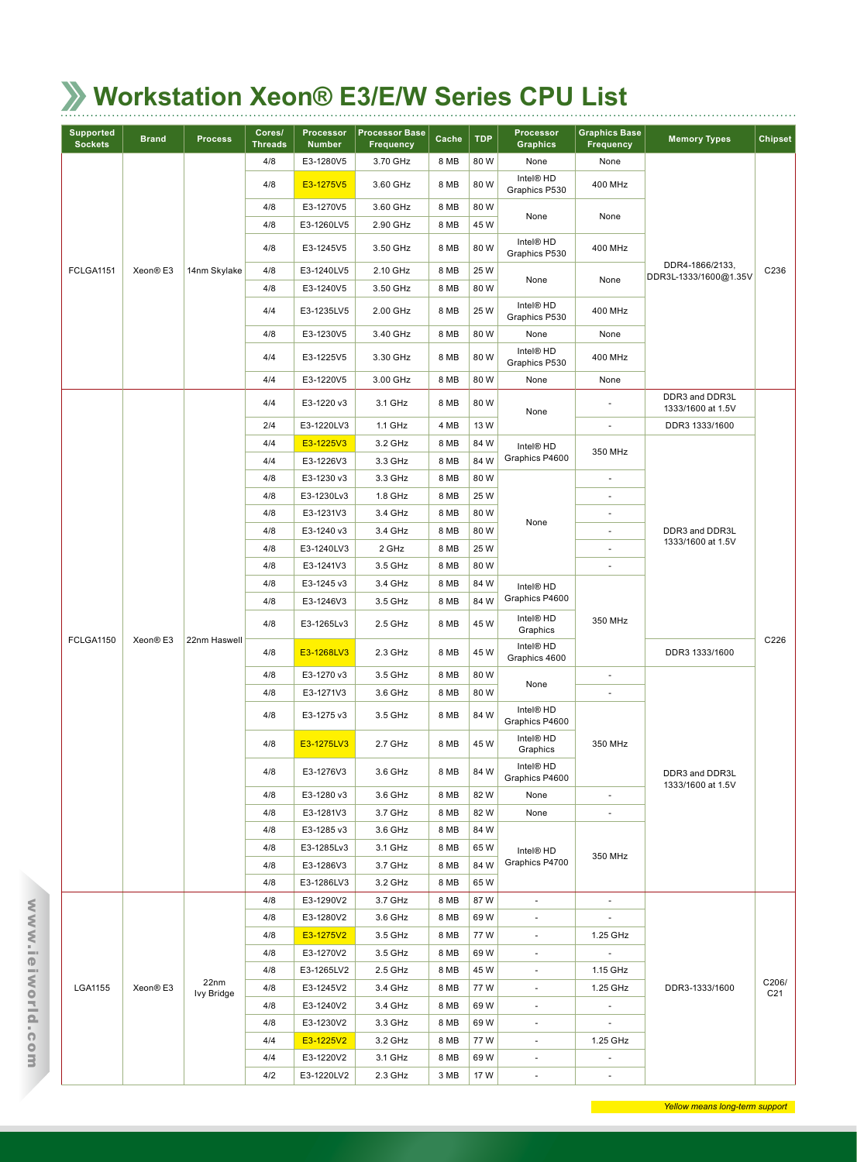# **Workstation Xeon® E3/E/W Series CPU List**

| <b>Supported</b><br><b>Sockets</b> | <b>Brand</b>          | <b>Process</b>     | Cores/<br><b>Threads</b> | Processor<br><b>Number</b> | <b>Processor Base</b><br><b>Frequency</b> | Cache | <b>TDP</b>                             | Processor<br><b>Graphics</b>            | <b>Graphics Base</b><br><b>Frequency</b> | <b>Memory Types</b>                      | <b>Chipset</b>           |
|------------------------------------|-----------------------|--------------------|--------------------------|----------------------------|-------------------------------------------|-------|----------------------------------------|-----------------------------------------|------------------------------------------|------------------------------------------|--------------------------|
|                                    |                       |                    | 4/8                      | E3-1280V5                  | 3.70 GHz                                  | 8 MB  | 80W                                    | None                                    | None                                     |                                          |                          |
|                                    |                       |                    | 4/8                      | E3-1275V5                  | 3.60 GHz                                  | 8 MB  | 80W                                    | Intel <sup>®</sup> HD<br>Graphics P530  | 400 MHz                                  |                                          |                          |
|                                    |                       |                    | 4/8                      | E3-1270V5                  | 3.60 GHz                                  | 8 MB  | 80 W                                   |                                         |                                          |                                          |                          |
|                                    |                       |                    | 4/8                      | E3-1260LV5                 | 2.90 GHz                                  | 8 MB  | 45 W                                   | None                                    | None                                     |                                          |                          |
|                                    |                       |                    | 4/8                      | E3-1245V5                  | 3.50 GHz                                  | 8 MB  | 80W                                    | Intel® HD<br>Graphics P530              | 400 MHz                                  |                                          |                          |
| FCLGA1151                          | Xeon® E3              | 14nm Skylake       | 4/8                      | E3-1240LV5                 | 2.10 GHz                                  | 8 MB  | 25 W                                   |                                         |                                          | DDR4-1866/2133,<br>DDR3L-1333/1600@1.35V | C236                     |
|                                    |                       |                    | 4/8                      | E3-1240V5                  | 3.50 GHz                                  | 8 MB  | 80W                                    | None                                    | None                                     |                                          |                          |
|                                    |                       |                    | 4/4                      | E3-1235LV5                 | 2.00 GHz                                  | 8 MB  | 25 W                                   | Intel <sup>®</sup> HD<br>Graphics P530  | 400 MHz                                  |                                          |                          |
|                                    |                       |                    | 4/8                      | E3-1230V5                  | 3.40 GHz                                  | 8 MB  | 80W                                    | None                                    | None                                     |                                          |                          |
|                                    |                       |                    | 4/4                      | E3-1225V5                  | 3.30 GHz                                  | 8 MB  | 80W                                    | Intel <sup>®</sup> HD<br>Graphics P530  | 400 MHz                                  |                                          |                          |
|                                    |                       |                    | 4/4                      | E3-1220V5                  | 3.00 GHz                                  | 8 MB  | 80 W                                   | None                                    | None                                     |                                          |                          |
|                                    |                       |                    | 4/4                      | E3-1220 v3                 | 3.1 GHz                                   | 8 MB  | 80 W                                   | None                                    |                                          | DDR3 and DDR3L<br>1333/1600 at 1.5V      |                          |
|                                    |                       |                    | 2/4                      | E3-1220LV3                 | 1.1 GHz                                   | 4 MB  | 13 W                                   |                                         | ä,                                       | DDR3 1333/1600                           |                          |
|                                    |                       |                    | 4/4                      | E3-1225V3                  | 3.2 GHz                                   | 8 MB  | 84 W                                   | Intel <sup>®</sup> HD                   | 350 MHz                                  |                                          |                          |
|                                    |                       |                    | 4/4                      | E3-1226V3                  | 3.3 GHz                                   | 8 MB  | 84 W                                   | Graphics P4600                          |                                          |                                          |                          |
|                                    |                       |                    | 4/8                      | E3-1230 v3                 | 3.3 GHz                                   | 8 MB  | 80W                                    |                                         |                                          |                                          |                          |
|                                    |                       |                    | 4/8                      | E3-1230Lv3                 | 1.8 GHz                                   | 8 MB  | 25 W                                   |                                         | ٠                                        |                                          |                          |
|                                    |                       |                    | 4/8                      | E3-1231V3                  | 3.4 GHz                                   | 8 MB  | 80 W                                   |                                         | $\frac{1}{2}$                            |                                          |                          |
|                                    |                       |                    | 4/8                      | E3-1240 v3                 | 3.4 GHz                                   | 8 MB  | 80W                                    | None                                    |                                          | DDR3 and DDR3L                           |                          |
|                                    |                       |                    | 4/8                      | E3-1240LV3                 | 2 GHz                                     | 8 MB  | 25 W                                   |                                         |                                          | 1333/1600 at 1.5V                        |                          |
|                                    | FCLGA1150<br>Xeon® E3 |                    | 4/8                      | E3-1241V3                  | 3.5 GHz                                   | 8 MB  | 80 W                                   |                                         |                                          |                                          |                          |
|                                    |                       |                    | 4/8                      | E3-1245 v3                 | 3.4 GHz                                   | 8 MB  | 84 W                                   | Intel <sup>®</sup> HD                   |                                          |                                          |                          |
|                                    |                       |                    | 4/8                      | E3-1246V3                  | 3.5 GHz                                   | 8 MB  | 84 W                                   | Graphics P4600                          |                                          |                                          |                          |
|                                    |                       |                    | 4/8                      | E3-1265Lv3                 | 2.5 GHz                                   | 8 MB  | 45 W                                   | Intel <sup>®</sup> HD<br>Graphics       | 350 MHz                                  |                                          |                          |
|                                    | 22nm Haswell          | 4/8                | E3-1268LV3               | 2.3 GHz                    | 8 MB                                      | 45 W  | Intel <sup>®</sup> HD<br>Graphics 4600 |                                         | DDR3 1333/1600                           | C226                                     |                          |
|                                    |                       |                    | 4/8                      | E3-1270 v3                 | 3.5 GHz                                   | 8 MB  | 80W                                    |                                         | $\frac{1}{2}$                            |                                          |                          |
|                                    |                       |                    | 4/8                      | E3-1271V3                  | 3.6 GHz                                   | 8 MB  | 80W                                    | None                                    |                                          |                                          |                          |
|                                    |                       |                    | 4/8                      | E3-1275 v3                 | 3.5 GHz                                   | 8 MB  | 84 W                                   | Intel <sup>®</sup> HD<br>Graphics P4600 |                                          |                                          |                          |
|                                    |                       |                    | 4/8                      | E3-1275LV3                 | 2.7 GHz                                   | 8 MB  | 45 W                                   | Intel <sup>®</sup> HD<br>Graphics       | 350 MHz                                  |                                          |                          |
|                                    |                       |                    | 4/8                      | E3-1276V3                  | 3.6 GHz                                   | 8 MB  | 84 W                                   | Intel® HD<br>Graphics P4600             |                                          | DDR3 and DDR3L<br>1333/1600 at 1.5V      |                          |
|                                    |                       |                    | 4/8                      | E3-1280 v3                 | 3.6 GHz                                   | 8 MB  | 82W                                    | None                                    | $\overline{\phantom{a}}$                 |                                          |                          |
|                                    |                       |                    | 4/8                      | E3-1281V3                  | 3.7 GHz                                   | 8 MB  | 82W                                    | None                                    | $\overline{\phantom{a}}$                 |                                          |                          |
|                                    |                       |                    | 4/8                      | E3-1285 v3                 | 3.6 GHz                                   | 8 MB  | 84 W                                   |                                         |                                          |                                          |                          |
|                                    |                       |                    | 4/8                      | E3-1285Lv3                 | 3.1 GHz                                   | 8 MB  | 65 W                                   | Intel <sup>®</sup> HD                   | 350 MHz                                  |                                          |                          |
|                                    |                       |                    | 4/8                      | E3-1286V3                  | 3.7 GHz                                   | 8 MB  | 84W                                    | Graphics P4700                          |                                          |                                          |                          |
|                                    |                       |                    | 4/8                      | E3-1286LV3                 | 3.2 GHz                                   | 8 MB  | 65 W                                   |                                         |                                          |                                          |                          |
|                                    |                       |                    | 4/8                      | E3-1290V2                  | 3.7 GHz                                   | 8 MB  | 87 W                                   | $\blacksquare$                          | $\blacksquare$                           |                                          |                          |
|                                    |                       |                    | 4/8                      | E3-1280V2                  | 3.6 GHz                                   | 8 MB  | 69 W                                   | $\overline{\phantom{a}}$                | $\overline{\phantom{a}}$                 |                                          |                          |
|                                    |                       |                    | 4/8                      | E3-1275V2                  | 3.5 GHz                                   | 8 MB  | 77 W                                   | $\overline{\phantom{a}}$                | 1.25 GHz                                 |                                          |                          |
|                                    |                       |                    | 4/8                      | E3-1270V2                  | 3.5 GHz                                   | 8 MB  | 69 W                                   | $\blacksquare$                          | $\blacksquare$                           |                                          |                          |
|                                    |                       |                    | 4/8                      | E3-1265LV2                 | 2.5 GHz                                   | 8 MB  | 45 W                                   | $\overline{\phantom{a}}$                | 1.15 GHz                                 |                                          |                          |
| LGA1155                            | Xeon® E3              | 22nm<br>Ivy Bridge | 4/8                      | E3-1245V2                  | 3.4 GHz                                   | 8 MB  | 77W                                    | ۰                                       | 1.25 GHz                                 | DDR3-1333/1600                           | C206/<br>C <sub>21</sub> |
|                                    |                       |                    | 4/8                      | E3-1240V2                  | 3.4 GHz                                   | 8 MB  | 69W                                    | $\overline{\phantom{a}}$                |                                          |                                          |                          |
|                                    |                       |                    | 4/8                      | E3-1230V2                  | 3.3 GHz                                   | 8 MB  | 69W                                    | $\overline{\phantom{a}}$                |                                          |                                          |                          |
|                                    |                       |                    | 4/4                      | E3-1225V2                  | 3.2 GHz                                   | 8 MB  | 77 W                                   | $\overline{\phantom{a}}$                | 1.25 GHz                                 |                                          |                          |
|                                    |                       |                    | 4/4                      | E3-1220V2                  | 3.1 GHz                                   | 8 MB  | 69 W                                   | $\overline{\phantom{a}}$                | $\overline{\phantom{a}}$                 |                                          |                          |
|                                    |                       |                    | 4/2                      | E3-1220LV2                 | 2.3 GHz                                   | 3 MB  | 17 W                                   | $\blacksquare$                          | $\blacksquare$                           |                                          |                          |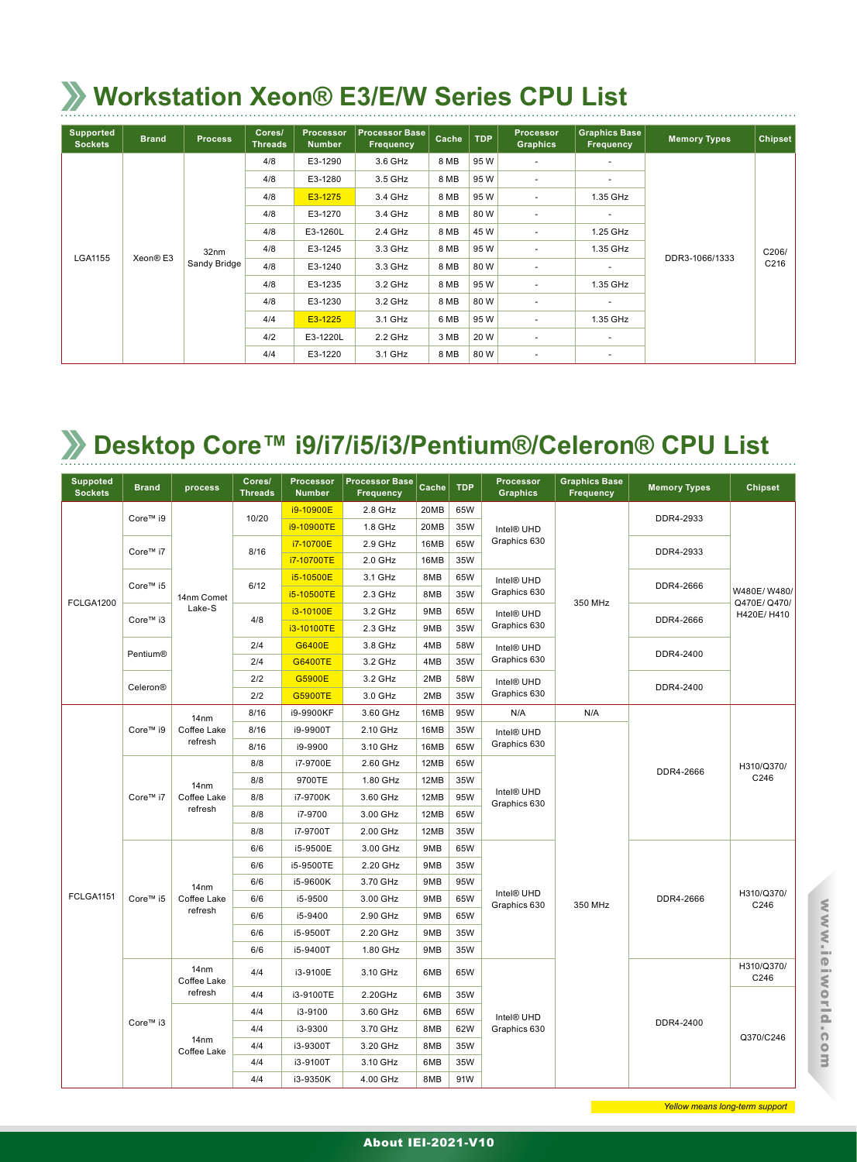#### **Workstation Xeon® E3/E/W Series CPU List**

| <b>Supported</b><br><b>Sockets</b> | <b>Brand</b> | <b>Process</b>   | Cores/<br><b>Threads</b> | Processor<br><b>Number</b> | <b>Processor Base</b><br>Frequency | Cache | <b>TDP</b>                                  | <b>Processor</b><br><b>Graphics</b> | <b>Graphics Base</b><br>Frequency      | <b>Memory Types</b> | Chipset |
|------------------------------------|--------------|------------------|--------------------------|----------------------------|------------------------------------|-------|---------------------------------------------|-------------------------------------|----------------------------------------|---------------------|---------|
|                                    |              |                  | 4/8                      | E3-1290                    | 3.6 GHz                            | 8 MB  | 95W                                         | $\overline{\phantom{a}}$            | $\overline{\phantom{a}}$               |                     |         |
|                                    |              |                  | 4/8                      | E3-1280                    | 3.5 GHz                            | 8 MB  | 95 W                                        | $\overline{\phantom{a}}$            |                                        |                     |         |
|                                    |              |                  | 4/8                      | E3-1275                    | 3.4 GHz                            | 8 MB  | 95 W                                        | $\overline{\phantom{a}}$            | 1.35 GHz                               |                     |         |
|                                    |              |                  | 4/8                      | E3-1270                    | 3.4 GHz                            | 8 MB  | 80 W                                        | $\sim$                              | ۰                                      |                     |         |
|                                    |              |                  | 4/8                      | E3-1260L                   | 2.4 GHz                            | 8 MB  | 45 W                                        | $\sim$                              | 1.25 GHz<br>1.35 GHz<br>DDR3-1066/1333 |                     |         |
|                                    |              | 32 <sub>nm</sub> | 4/8                      | E3-1245                    | 3.3 GHz                            | 8 MB  | 95W                                         | $\overline{\phantom{a}}$            |                                        |                     | C206/   |
| LGA1155                            | Xeon® E3     | Sandy Bridge     | 4/8                      | E3-1240                    | 3.3 GHz                            | 8 MB  | 80 W                                        | $\overline{\phantom{a}}$            |                                        |                     | C216    |
|                                    |              |                  | 4/8                      | E3-1235                    | 3.2 GHz                            | 8 MB  | 95W                                         | $\sim$                              | 1.35 GHz                               |                     |         |
|                                    |              |                  | 4/8                      | E3-1230                    | 3.2 GHz                            | 8 MB  | 80 W                                        | $\overline{\phantom{a}}$            |                                        |                     |         |
|                                    |              |                  | 4/4                      | E3-1225                    | 3.1 GHz                            | 6 MB  | 95W<br>1.35 GHz<br>$\overline{\phantom{a}}$ |                                     |                                        |                     |         |
|                                    |              |                  | 4/2                      | E3-1220L                   | 2.2 GHz                            | 3 MB  | 20 W                                        | $\sim$                              | ٠                                      |                     |         |
|                                    |              |                  | 4/4                      | E3-1220                    | 3.1 GHz                            | 8 MB  | 80 W                                        | $\overline{\phantom{a}}$            | $\overline{\phantom{a}}$               |                     |         |

#### **Desktop Core™ i9/i7/i5/i3/Pentium®/Celeron® CPU List**

| <b>Suppoted</b><br><b>Sockets</b> | <b>Brand</b> | process                         | Cores/<br><b>Threads</b> | <b>Processor</b><br><b>Number</b> | <b>Processor Base</b><br><b>Frequency</b> | Cache | <b>TDP</b> | Processor<br><b>Graphics</b>           | <b>Graphics Base</b><br>Frequency | <b>Memory Types</b> | <b>Chipset</b>             |
|-----------------------------------|--------------|---------------------------------|--------------------------|-----------------------------------|-------------------------------------------|-------|------------|----------------------------------------|-----------------------------------|---------------------|----------------------------|
|                                   | Core™ i9     |                                 | 10/20                    | i9-10900E                         | 2.8 GHz                                   | 20MB  | 65W        |                                        |                                   | DDR4-2933           |                            |
|                                   |              |                                 |                          | i9-10900TE                        | 1.8 GHz                                   | 20MB  | 35W        | Intel <sup>®</sup> UHD                 |                                   |                     |                            |
|                                   | Core™ i7     |                                 | 8/16                     | i7-10700E                         | 2.9 GHz                                   | 16MB  | 65W        | Graphics 630                           |                                   | DDR4-2933           |                            |
|                                   |              |                                 |                          | i7-10700TE                        | 2.0 GHz                                   | 16MB  | 35W        |                                        |                                   |                     |                            |
|                                   | Core™ i5     |                                 | 6/12                     | i5-10500E                         | 3.1 GHz                                   | 8MB   | 65W        | Intel <sup>®</sup> UHD                 |                                   | DDR4-2666           |                            |
| FCLGA1200                         |              | 14nm Comet                      |                          | i5-10500TE                        | 2.3 GHz                                   | 8MB   | 35W        | Graphics 630                           | 350 MHz                           |                     | W480E/W480/<br>Q470E/Q470/ |
|                                   | Core™ i3     | Lake-S                          | 4/8                      | i3-10100E                         | 3.2 GHz                                   | 9MB   | 65W        | Intel® UHD                             |                                   | DDR4-2666           | H420E/H410                 |
|                                   |              |                                 |                          | i3-10100TE                        | 2.3 GHz                                   | 9MB   | 35W        | Graphics 630                           |                                   |                     |                            |
|                                   | Pentium®     |                                 | 2/4                      | G6400E                            | 3.8 GHz                                   | 4MB   | 58W        | Intel <sup>®</sup> UHD                 |                                   | DDR4-2400           |                            |
|                                   |              |                                 | 2/4                      | <b>G6400TE</b>                    | 3.2 GHz                                   | 4MB   | 35W        | Graphics 630                           |                                   |                     |                            |
|                                   | Celeron®     |                                 | 2/2                      | G5900E                            | 3.2 GHz                                   | 2MB   | 58W        | Intel <sup>®</sup> UHD                 |                                   | DDR4-2400           |                            |
|                                   |              |                                 | 2/2                      | <b>G5900TE</b>                    | 3.0 GHz                                   | 2MB   | 35W        | Graphics 630                           |                                   |                     |                            |
|                                   |              | 14nm                            | 8/16                     | i9-9900KF                         | 3.60 GHz                                  | 16MB  | 95W        | N/A                                    | N/A                               |                     |                            |
|                                   | Core™ i9     | Coffee Lake                     | 8/16                     | i9-9900T                          | 2.10 GHz                                  | 16MB  | 35W        | Intel <sup>®</sup> UHD                 |                                   |                     |                            |
|                                   |              | refresh                         | 8/16                     | i9-9900                           | 3.10 GHz                                  | 16MB  | 65W        | Graphics 630                           |                                   |                     |                            |
|                                   |              | 14nm<br>Coffee Lake<br>refresh  | 8/8                      | i7-9700E                          | 2.60 GHz                                  | 12MB  | 65W        |                                        |                                   | DDR4-2666           | H310/Q370/                 |
|                                   |              |                                 | 8/8                      | 9700TE                            | 1.80 GHz                                  | 12MB  | 35W        |                                        |                                   |                     | C246                       |
|                                   | Core™ i7     |                                 | 8/8                      | i7-9700K                          | 3.60 GHz                                  | 12MB  | 95W        | Intel <sup>®</sup> UHD<br>Graphics 630 |                                   |                     |                            |
|                                   |              |                                 | 8/8                      | i7-9700                           | 3.00 GHz                                  | 12MB  | 65W        |                                        |                                   |                     |                            |
|                                   |              |                                 | 8/8                      | i7-9700T                          | 2.00 GHz                                  | 12MB  | 35W        |                                        |                                   |                     |                            |
|                                   |              |                                 | 6/6                      | i5-9500E                          | 3.00 GHz                                  | 9MB   | 65W        |                                        |                                   |                     |                            |
|                                   |              |                                 | 6/6                      | i5-9500TE                         | 2.20 GHz                                  | 9MB   | 35W        |                                        |                                   |                     |                            |
|                                   |              | 14nm                            | 6/6                      | i5-9600K                          | 3.70 GHz                                  | 9MB   | 95W        |                                        |                                   |                     |                            |
| FCLGA1151                         | Core™ i5     | Coffee Lake                     | 6/6                      | i5-9500                           | 3.00 GHz                                  | 9MB   | 65W        | Intel <sup>®</sup> UHD<br>Graphics 630 | 350 MHz                           | DDR4-2666           | H310/Q370/<br>C246         |
|                                   |              | refresh                         | 6/6                      | i5-9400                           | 2.90 GHz                                  | 9MB   | 65W        |                                        |                                   |                     |                            |
|                                   |              |                                 | 6/6                      | i5-9500T                          | 2.20 GHz                                  | 9MB   | 35W        |                                        |                                   |                     |                            |
|                                   |              |                                 | 6/6                      | i5-9400T                          | 1.80 GHz                                  | 9MB   | 35W        |                                        |                                   |                     |                            |
|                                   |              | 14 <sub>nm</sub><br>Coffee Lake | 4/4                      | i3-9100E                          | 3.10 GHz                                  | 6MB   | 65W        |                                        |                                   |                     | H310/Q370/<br>C246         |
|                                   | Core™ i3     | refresh                         | 4/4                      | i3-9100TE                         | 2.20GHz                                   | 6MB   | 35W        |                                        |                                   |                     |                            |
|                                   |              |                                 | 4/4                      | i3-9100                           | 3.60 GHz                                  | 6MB   | 65W        | Intel® UHD                             |                                   |                     |                            |
|                                   |              |                                 | 4/4                      | i3-9300                           | 3.70 GHz                                  | 8MB   | 62W        | Graphics 630                           |                                   | DDR4-2400           |                            |
|                                   |              | 14 <sub>nm</sub><br>Coffee Lake | 4/4                      | i3-9300T                          | 3.20 GHz                                  | 8MB   | 35W        |                                        |                                   |                     | Q370/C246                  |
|                                   |              |                                 | 4/4                      | i3-9100T                          | 3.10 GHz                                  | 6MB   | 35W        |                                        |                                   |                     |                            |
|                                   |              |                                 | 4/4                      | i3-9350K                          | 4.00 GHz                                  | 8MB   | 91W        |                                        |                                   |                     |                            |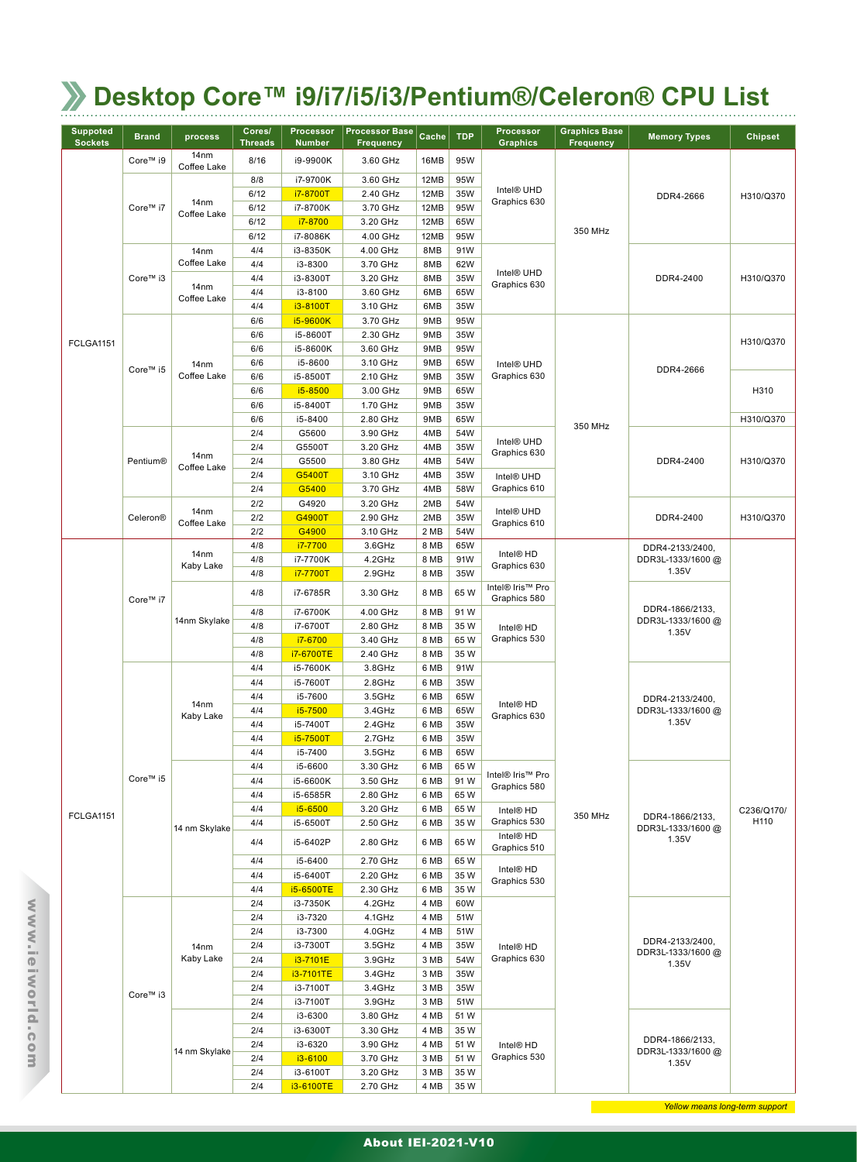| <b>Suppoted</b> | <b>Brand</b>                                                                                                                                                                                                                                                                                                                                                                                                                                                                                                                                                                                                                                                                                                                                                               | process          | Cores/         | <b>Processor</b>     | <b>Processor Base</b> | Cache        | <b>TDP</b>   | Processor                                                                                                                                                                                                                                                                                                                                                                                                                | <b>Graphics Base</b> | <b>Memory Types</b>                                                                                                                                                                 | <b>Chipset</b> |
|-----------------|----------------------------------------------------------------------------------------------------------------------------------------------------------------------------------------------------------------------------------------------------------------------------------------------------------------------------------------------------------------------------------------------------------------------------------------------------------------------------------------------------------------------------------------------------------------------------------------------------------------------------------------------------------------------------------------------------------------------------------------------------------------------------|------------------|----------------|----------------------|-----------------------|--------------|--------------|--------------------------------------------------------------------------------------------------------------------------------------------------------------------------------------------------------------------------------------------------------------------------------------------------------------------------------------------------------------------------------------------------------------------------|----------------------|-------------------------------------------------------------------------------------------------------------------------------------------------------------------------------------|----------------|
| <b>Sockets</b>  |                                                                                                                                                                                                                                                                                                                                                                                                                                                                                                                                                                                                                                                                                                                                                                            | 14 <sub>nm</sub> | <b>Threads</b> | <b>Number</b>        | <b>Frequency</b>      |              |              | <b>Graphics</b>                                                                                                                                                                                                                                                                                                                                                                                                          | <b>Frequency</b>     |                                                                                                                                                                                     |                |
|                 | Core™ i9                                                                                                                                                                                                                                                                                                                                                                                                                                                                                                                                                                                                                                                                                                                                                                   | Coffee Lake      | 8/16           | i9-9900K             | 3.60 GHz              | 16MB         | 95W          |                                                                                                                                                                                                                                                                                                                                                                                                                          |                      |                                                                                                                                                                                     |                |
|                 |                                                                                                                                                                                                                                                                                                                                                                                                                                                                                                                                                                                                                                                                                                                                                                            |                  | 8/8            | i7-9700K             | 3.60 GHz              | 12MB         | 95W          |                                                                                                                                                                                                                                                                                                                                                                                                                          |                      |                                                                                                                                                                                     |                |
|                 | Core™ i7                                                                                                                                                                                                                                                                                                                                                                                                                                                                                                                                                                                                                                                                                                                                                                   | 14 <sub>nm</sub> | 6/12<br>6/12   | i7-8700T<br>i7-8700K | 2.40 GHz<br>3.70 GHz  | 12MB<br>12MB | 35W<br>95W   | Graphics 630                                                                                                                                                                                                                                                                                                                                                                                                             |                      | DDR4-2666                                                                                                                                                                           | H310/Q370      |
|                 |                                                                                                                                                                                                                                                                                                                                                                                                                                                                                                                                                                                                                                                                                                                                                                            | Coffee Lake      | 6/12           | i7-8700              | 3.20 GHz              | 12MB         | 65W          |                                                                                                                                                                                                                                                                                                                                                                                                                          |                      |                                                                                                                                                                                     |                |
|                 |                                                                                                                                                                                                                                                                                                                                                                                                                                                                                                                                                                                                                                                                                                                                                                            |                  | 6/12           | i7-8086K             | 4.00 GHz              | 12MB         | 95W          |                                                                                                                                                                                                                                                                                                                                                                                                                          | 350 MHz              |                                                                                                                                                                                     |                |
|                 |                                                                                                                                                                                                                                                                                                                                                                                                                                                                                                                                                                                                                                                                                                                                                                            | 14nm             | 4/4            | i3-8350K             | 4.00 GHz              | 8MB          | 91W          |                                                                                                                                                                                                                                                                                                                                                                                                                          |                      |                                                                                                                                                                                     |                |
|                 |                                                                                                                                                                                                                                                                                                                                                                                                                                                                                                                                                                                                                                                                                                                                                                            | Coffee Lake      | 4/4            | i3-8300              | 3.70 GHz              | 8MB          | 62W          |                                                                                                                                                                                                                                                                                                                                                                                                                          |                      |                                                                                                                                                                                     |                |
|                 | Core™ i3                                                                                                                                                                                                                                                                                                                                                                                                                                                                                                                                                                                                                                                                                                                                                                   | 14nm             | 4/4            | i3-8300T             | 3.20 GHz              | 8MB          | 35W          | Graphics 630                                                                                                                                                                                                                                                                                                                                                                                                             |                      | DDR4-2400                                                                                                                                                                           | H310/Q370      |
|                 |                                                                                                                                                                                                                                                                                                                                                                                                                                                                                                                                                                                                                                                                                                                                                                            | Coffee Lake      | 4/4            | i3-8100              | 3.60 GHz              | 6MB          | 65W          |                                                                                                                                                                                                                                                                                                                                                                                                                          |                      |                                                                                                                                                                                     |                |
|                 |                                                                                                                                                                                                                                                                                                                                                                                                                                                                                                                                                                                                                                                                                                                                                                            |                  | 4/4<br>6/6     | i3-8100T<br>i5-9600K | 3.10 GHz<br>3.70 GHz  | 6MB<br>9MB   | 35W<br>95W   |                                                                                                                                                                                                                                                                                                                                                                                                                          |                      |                                                                                                                                                                                     |                |
|                 |                                                                                                                                                                                                                                                                                                                                                                                                                                                                                                                                                                                                                                                                                                                                                                            |                  | 6/6            | i5-8600T             | 2.30 GHz              | 9MB          | 35W          |                                                                                                                                                                                                                                                                                                                                                                                                                          |                      |                                                                                                                                                                                     |                |
| FCLGA1151       |                                                                                                                                                                                                                                                                                                                                                                                                                                                                                                                                                                                                                                                                                                                                                                            |                  | 6/6            | i5-8600K             | 3.60 GHz              | 9MB          | 95W          |                                                                                                                                                                                                                                                                                                                                                                                                                          |                      |                                                                                                                                                                                     | H310/Q370      |
|                 | Core™ i5                                                                                                                                                                                                                                                                                                                                                                                                                                                                                                                                                                                                                                                                                                                                                                   | 14 <sub>nm</sub> | 6/6            | i5-8600              | 3.10 GHz              | 9MB          | 65W          | Intel® UHD                                                                                                                                                                                                                                                                                                                                                                                                               |                      |                                                                                                                                                                                     |                |
|                 |                                                                                                                                                                                                                                                                                                                                                                                                                                                                                                                                                                                                                                                                                                                                                                            | Coffee Lake      | 6/6            | i5-8500T             | 2.10 GHz              | 9MB          | 35W          | Graphics 630                                                                                                                                                                                                                                                                                                                                                                                                             |                      |                                                                                                                                                                                     |                |
|                 |                                                                                                                                                                                                                                                                                                                                                                                                                                                                                                                                                                                                                                                                                                                                                                            |                  | 6/6            | i5-8500              | 3.00 GHz              | 9MB          | 65W          |                                                                                                                                                                                                                                                                                                                                                                                                                          |                      |                                                                                                                                                                                     | H310           |
|                 |                                                                                                                                                                                                                                                                                                                                                                                                                                                                                                                                                                                                                                                                                                                                                                            |                  | 6/6            | i5-8400T             | 1.70 GHz              | 9MB          | 35W          |                                                                                                                                                                                                                                                                                                                                                                                                                          |                      | DDR4-2666<br>DDR4-2400<br>DDR4-2400<br>DDR4-2133/2400,<br>DDR3L-1333/1600@<br>1.35V<br>DDR4-1866/2133,<br>DDR3L-1333/1600@<br>1.35V<br>DDR4-2133/2400,<br>DDR3L-1333/1600@<br>1.35V |                |
|                 |                                                                                                                                                                                                                                                                                                                                                                                                                                                                                                                                                                                                                                                                                                                                                                            |                  | 6/6<br>2/4     | i5-8400<br>G5600     | 2.80 GHz<br>3.90 GHz  | 9MB<br>4MB   | 65W<br>54W   |                                                                                                                                                                                                                                                                                                                                                                                                                          | 350 MHz              |                                                                                                                                                                                     | H310/Q370      |
|                 |                                                                                                                                                                                                                                                                                                                                                                                                                                                                                                                                                                                                                                                                                                                                                                            |                  | 2/4            | G5500T               | 3.20 GHz              | 4MB          | 35W          | Intel® UHD                                                                                                                                                                                                                                                                                                                                                                                                               |                      |                                                                                                                                                                                     |                |
|                 | Pentium®                                                                                                                                                                                                                                                                                                                                                                                                                                                                                                                                                                                                                                                                                                                                                                   | 14 <sub>nm</sub> | 2/4            | G5500                | 3.80 GHz              | 4MB          | 54W          |                                                                                                                                                                                                                                                                                                                                                                                                                          |                      |                                                                                                                                                                                     | H310/Q370      |
|                 |                                                                                                                                                                                                                                                                                                                                                                                                                                                                                                                                                                                                                                                                                                                                                                            | Coffee Lake      | 2/4            | G5400T               | 3.10 GHz              | 4MB          | 35W          | Intel® UHD                                                                                                                                                                                                                                                                                                                                                                                                               |                      |                                                                                                                                                                                     |                |
|                 |                                                                                                                                                                                                                                                                                                                                                                                                                                                                                                                                                                                                                                                                                                                                                                            |                  | 2/4            | G5400                | 3.70 GHz              | 4MB          | 58W          | Graphics 610                                                                                                                                                                                                                                                                                                                                                                                                             |                      |                                                                                                                                                                                     |                |
|                 |                                                                                                                                                                                                                                                                                                                                                                                                                                                                                                                                                                                                                                                                                                                                                                            |                  | 2/2            | G4920                | 3.20 GHz              | 2MB          | 54W          |                                                                                                                                                                                                                                                                                                                                                                                                                          |                      |                                                                                                                                                                                     |                |
|                 | Celeron®                                                                                                                                                                                                                                                                                                                                                                                                                                                                                                                                                                                                                                                                                                                                                                   | Coffee Lake      | 2/2            | G4900T               | 2.90 GHz              | 2MB          | 35W          | Graphics 610                                                                                                                                                                                                                                                                                                                                                                                                             |                      |                                                                                                                                                                                     | H310/Q370      |
|                 |                                                                                                                                                                                                                                                                                                                                                                                                                                                                                                                                                                                                                                                                                                                                                                            |                  |                |                      |                       |              |              |                                                                                                                                                                                                                                                                                                                                                                                                                          |                      |                                                                                                                                                                                     |                |
|                 |                                                                                                                                                                                                                                                                                                                                                                                                                                                                                                                                                                                                                                                                                                                                                                            | 14nm             |                |                      |                       |              |              | Intel <sup>®</sup> HD                                                                                                                                                                                                                                                                                                                                                                                                    |                      |                                                                                                                                                                                     |                |
|                 | Intel® UHD<br>14 <sub>nm</sub><br>2/2<br>G4900<br>3.10 GHz<br>2 MB<br>54W<br>8 MB<br>4/8<br>i7-7700<br>3.6GHz<br>65W<br>4/8<br>i7-7700K<br>4.2GHz<br>8 MB<br>91W<br>Kaby Lake<br>Graphics 630<br>4/8<br>i7-7700T<br>2.9GHz<br>8 MB<br>35W<br>Intel® Iris™ Pro<br>4/8<br>i7-6785R<br>3.30 GHz<br>8 MB<br>65W<br>Graphics 580<br>Core™ i7<br>4/8<br>i7-6700K<br>4.00 GHz<br>8 MB<br>91 W<br>14nm Skylake<br>35W<br>4/8<br>i7-6700T<br>2.80 GHz<br>8 MB<br>Intel <sup>®</sup> HD<br>Graphics 530<br>4/8<br>i7-6700<br>3.40 GHz<br>8 MB<br>65W<br>4/8<br>i7-6700TE<br>2.40 GHz<br>8 MB<br>35 W<br>4/4<br>i5-7600K<br>3.8GHz<br>6 MB<br>91W<br>2.8GHz<br>4/4<br>i5-7600T<br>6 MB<br>35W<br>4/4<br>i5-7600<br>3.5GHz<br>6 MB<br>65W<br>14 <sub>nm</sub><br>Intel <sup>®</sup> HD |                  |                |                      |                       |              |              |                                                                                                                                                                                                                                                                                                                                                                                                                          |                      |                                                                                                                                                                                     |                |
|                 |                                                                                                                                                                                                                                                                                                                                                                                                                                                                                                                                                                                                                                                                                                                                                                            |                  |                |                      |                       |              |              |                                                                                                                                                                                                                                                                                                                                                                                                                          |                      |                                                                                                                                                                                     |                |
|                 |                                                                                                                                                                                                                                                                                                                                                                                                                                                                                                                                                                                                                                                                                                                                                                            |                  |                |                      |                       |              |              |                                                                                                                                                                                                                                                                                                                                                                                                                          |                      |                                                                                                                                                                                     |                |
|                 |                                                                                                                                                                                                                                                                                                                                                                                                                                                                                                                                                                                                                                                                                                                                                                            |                  |                |                      |                       |              |              | Intel <sup>®</sup> UHD<br>Intel® UHD<br>Graphics 630<br>Graphics 630<br>Graphics 580<br>Intel® HD<br>350 MHz<br>DDR4-1866/2133,<br>Graphics 530<br>DDR3L-1333/1600@<br>Intel® HD<br>1.35V<br>Graphics 510<br>Intel <sup>®</sup> HD<br>Graphics 530<br>DDR4-2133/2400,<br>Intel <sup>®</sup> HD<br>DDR3L-1333/1600@<br>Graphics 630<br>1.35V<br>DDR4-1866/2133,<br>Intel® HD<br>DDR3L-1333/1600@<br>Graphics 530<br>1.35V |                      |                                                                                                                                                                                     |                |
|                 |                                                                                                                                                                                                                                                                                                                                                                                                                                                                                                                                                                                                                                                                                                                                                                            |                  |                |                      |                       |              |              |                                                                                                                                                                                                                                                                                                                                                                                                                          |                      |                                                                                                                                                                                     |                |
|                 |                                                                                                                                                                                                                                                                                                                                                                                                                                                                                                                                                                                                                                                                                                                                                                            |                  |                |                      |                       |              |              |                                                                                                                                                                                                                                                                                                                                                                                                                          |                      |                                                                                                                                                                                     |                |
|                 |                                                                                                                                                                                                                                                                                                                                                                                                                                                                                                                                                                                                                                                                                                                                                                            |                  |                |                      |                       |              |              |                                                                                                                                                                                                                                                                                                                                                                                                                          |                      |                                                                                                                                                                                     |                |
|                 |                                                                                                                                                                                                                                                                                                                                                                                                                                                                                                                                                                                                                                                                                                                                                                            |                  |                |                      |                       |              |              |                                                                                                                                                                                                                                                                                                                                                                                                                          |                      |                                                                                                                                                                                     |                |
|                 |                                                                                                                                                                                                                                                                                                                                                                                                                                                                                                                                                                                                                                                                                                                                                                            |                  |                |                      |                       |              |              |                                                                                                                                                                                                                                                                                                                                                                                                                          |                      |                                                                                                                                                                                     |                |
|                 |                                                                                                                                                                                                                                                                                                                                                                                                                                                                                                                                                                                                                                                                                                                                                                            | Kaby Lake        | 4/4            | i5-7500              | 3.4GHz                | 6 MB         | 65W          |                                                                                                                                                                                                                                                                                                                                                                                                                          |                      |                                                                                                                                                                                     |                |
|                 |                                                                                                                                                                                                                                                                                                                                                                                                                                                                                                                                                                                                                                                                                                                                                                            |                  | 4/4            | i5-7400T             | 2.4GHz                | 6 MB         | 35W          |                                                                                                                                                                                                                                                                                                                                                                                                                          |                      |                                                                                                                                                                                     |                |
|                 |                                                                                                                                                                                                                                                                                                                                                                                                                                                                                                                                                                                                                                                                                                                                                                            |                  | 4/4            | i5-7500T             | 2.7GHz                | 6 MB         | 35W          |                                                                                                                                                                                                                                                                                                                                                                                                                          |                      |                                                                                                                                                                                     |                |
|                 |                                                                                                                                                                                                                                                                                                                                                                                                                                                                                                                                                                                                                                                                                                                                                                            |                  | 4/4            | i5-7400              | 3.5GHz                | 6 MB         | 65W          |                                                                                                                                                                                                                                                                                                                                                                                                                          |                      |                                                                                                                                                                                     |                |
|                 | Core™ i5                                                                                                                                                                                                                                                                                                                                                                                                                                                                                                                                                                                                                                                                                                                                                                   |                  | 4/4<br>4/4     | i5-6600<br>i5-6600K  | 3.30 GHz<br>3.50 GHz  | 6 MB<br>6 MB | 65 W<br>91 W | Intel® Iris™ Pro                                                                                                                                                                                                                                                                                                                                                                                                         |                      |                                                                                                                                                                                     |                |
|                 |                                                                                                                                                                                                                                                                                                                                                                                                                                                                                                                                                                                                                                                                                                                                                                            |                  | 4/4            | i5-6585R             | 2.80 GHz              | 6 MB         | 65W          |                                                                                                                                                                                                                                                                                                                                                                                                                          |                      |                                                                                                                                                                                     |                |
|                 |                                                                                                                                                                                                                                                                                                                                                                                                                                                                                                                                                                                                                                                                                                                                                                            |                  | 4/4            | i5-6500              | 3.20 GHz              | 6 MB         | 65 W         |                                                                                                                                                                                                                                                                                                                                                                                                                          |                      |                                                                                                                                                                                     | C236/Q170/     |
| FCLGA1151       |                                                                                                                                                                                                                                                                                                                                                                                                                                                                                                                                                                                                                                                                                                                                                                            | 14 nm Skylake    | 4/4            | i5-6500T             | 2.50 GHz              | 6 MB         | 35 W         |                                                                                                                                                                                                                                                                                                                                                                                                                          |                      |                                                                                                                                                                                     | H110           |
|                 |                                                                                                                                                                                                                                                                                                                                                                                                                                                                                                                                                                                                                                                                                                                                                                            |                  | 4/4            | i5-6402P             | 2.80 GHz              | 6 MB         | 65W          |                                                                                                                                                                                                                                                                                                                                                                                                                          |                      |                                                                                                                                                                                     |                |
|                 |                                                                                                                                                                                                                                                                                                                                                                                                                                                                                                                                                                                                                                                                                                                                                                            |                  | 4/4            | i5-6400              | 2.70 GHz              | 6 MB         | 65W          |                                                                                                                                                                                                                                                                                                                                                                                                                          |                      |                                                                                                                                                                                     |                |
|                 |                                                                                                                                                                                                                                                                                                                                                                                                                                                                                                                                                                                                                                                                                                                                                                            |                  | 4/4            | i5-6400T             | 2.20 GHz              | 6 MB         | 35 W         |                                                                                                                                                                                                                                                                                                                                                                                                                          |                      |                                                                                                                                                                                     |                |
|                 |                                                                                                                                                                                                                                                                                                                                                                                                                                                                                                                                                                                                                                                                                                                                                                            |                  | 4/4            | i5-6500TE            | 2.30 GHz              | 6 MB         | 35 W         |                                                                                                                                                                                                                                                                                                                                                                                                                          |                      |                                                                                                                                                                                     |                |
|                 |                                                                                                                                                                                                                                                                                                                                                                                                                                                                                                                                                                                                                                                                                                                                                                            |                  | 2/4<br>2/4     | i3-7350K             | 4.2GHz                | 4 MB         | 60W          |                                                                                                                                                                                                                                                                                                                                                                                                                          |                      |                                                                                                                                                                                     |                |
|                 |                                                                                                                                                                                                                                                                                                                                                                                                                                                                                                                                                                                                                                                                                                                                                                            |                  | 2/4            | i3-7320<br>i3-7300   | 4.1GHz<br>4.0GHz      | 4 MB<br>4 MB | 51W<br>51W   |                                                                                                                                                                                                                                                                                                                                                                                                                          |                      |                                                                                                                                                                                     |                |
|                 |                                                                                                                                                                                                                                                                                                                                                                                                                                                                                                                                                                                                                                                                                                                                                                            | 14nm             | 2/4            | i3-7300T             | 3.5GHz                | 4 MB         | 35W          |                                                                                                                                                                                                                                                                                                                                                                                                                          |                      |                                                                                                                                                                                     |                |
|                 |                                                                                                                                                                                                                                                                                                                                                                                                                                                                                                                                                                                                                                                                                                                                                                            | Kaby Lake        | 2/4            | i3-7101E             | 3.9GHz                | 3 MB         | 54W          |                                                                                                                                                                                                                                                                                                                                                                                                                          |                      |                                                                                                                                                                                     |                |
|                 | Core™ i3                                                                                                                                                                                                                                                                                                                                                                                                                                                                                                                                                                                                                                                                                                                                                                   |                  | 2/4            | i3-7101TE            | 3.4GHz                | 3 MB         | 35W          |                                                                                                                                                                                                                                                                                                                                                                                                                          |                      |                                                                                                                                                                                     |                |
|                 |                                                                                                                                                                                                                                                                                                                                                                                                                                                                                                                                                                                                                                                                                                                                                                            |                  | 2/4            | i3-7100T             | 3.4GHz                | 3 MB         | 35W          |                                                                                                                                                                                                                                                                                                                                                                                                                          |                      |                                                                                                                                                                                     |                |
|                 |                                                                                                                                                                                                                                                                                                                                                                                                                                                                                                                                                                                                                                                                                                                                                                            |                  | 2/4            | i3-7100T             | 3.9GHz                | 3 MB         | 51W          |                                                                                                                                                                                                                                                                                                                                                                                                                          |                      |                                                                                                                                                                                     |                |
|                 |                                                                                                                                                                                                                                                                                                                                                                                                                                                                                                                                                                                                                                                                                                                                                                            |                  | 2/4            | i3-6300              | 3.80 GHz              | 4 MB         | 51 W         |                                                                                                                                                                                                                                                                                                                                                                                                                          |                      |                                                                                                                                                                                     |                |
|                 |                                                                                                                                                                                                                                                                                                                                                                                                                                                                                                                                                                                                                                                                                                                                                                            |                  | 2/4            | i3-6300T             | 3.30 GHz              | 4 MB         | 35W          |                                                                                                                                                                                                                                                                                                                                                                                                                          |                      |                                                                                                                                                                                     |                |
|                 |                                                                                                                                                                                                                                                                                                                                                                                                                                                                                                                                                                                                                                                                                                                                                                            | 14 nm Skylake    | 2/4<br>2/4     | i3-6320<br>i3-6100   | 3.90 GHz<br>3.70 GHz  | 4 MB<br>3 MB | 51 W<br>51 W |                                                                                                                                                                                                                                                                                                                                                                                                                          |                      |                                                                                                                                                                                     |                |
|                 |                                                                                                                                                                                                                                                                                                                                                                                                                                                                                                                                                                                                                                                                                                                                                                            |                  | 2/4            | i3-6100T             | 3.20 GHz              | 3 MB         | 35W          |                                                                                                                                                                                                                                                                                                                                                                                                                          |                      |                                                                                                                                                                                     |                |
|                 |                                                                                                                                                                                                                                                                                                                                                                                                                                                                                                                                                                                                                                                                                                                                                                            |                  | 2/4            | i3-6100TE            | 2.70 GHz              | 4 MB         | 35 W         |                                                                                                                                                                                                                                                                                                                                                                                                                          |                      |                                                                                                                                                                                     |                |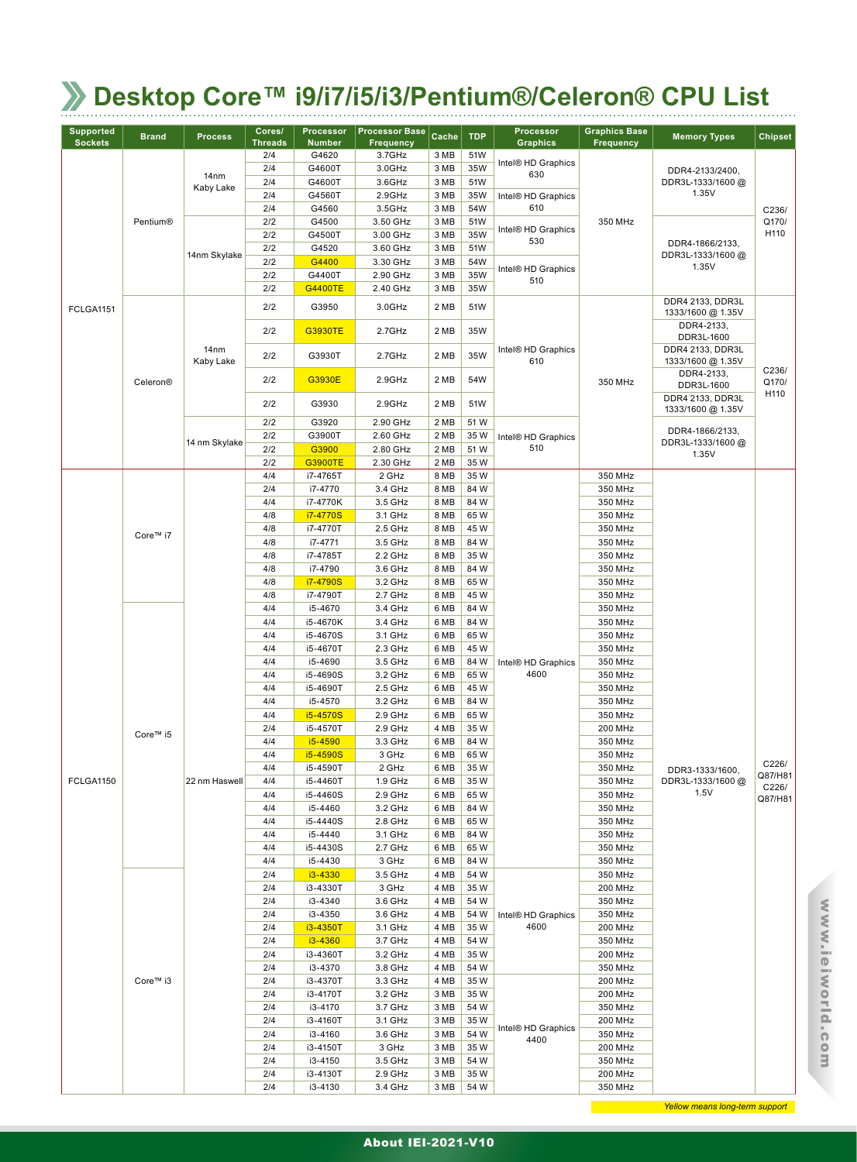| <b>Supported</b><br><b>Sockets</b> | <b>Brand</b>    | <b>Process</b>    | Cores/<br><b>Threads</b> | Processor<br><b>Number</b> | <b>Processor Base</b><br><b>Frequency</b> | Cache        | <b>TDP</b>   | Processor<br><b>Graphics</b> | <b>Graphics Base</b><br>Frequency | <b>Memory Types</b>                   | <b>Chipset</b> |
|------------------------------------|-----------------|-------------------|--------------------------|----------------------------|-------------------------------------------|--------------|--------------|------------------------------|-----------------------------------|---------------------------------------|----------------|
|                                    |                 |                   | 2/4                      | G4620                      | 3.7GHz                                    | 3 MB         | 51W          |                              |                                   |                                       |                |
|                                    |                 | 14nm              | 2/4                      | G4600T                     | 3.0GHz                                    | 3 MB         | 35W          | Intel® HD Graphics<br>630    |                                   | DDR4-2133/2400,                       |                |
|                                    |                 | Kaby Lake         | 2/4                      | G4600T                     | 3.6GHz                                    | 3 MB         | 51W          |                              |                                   | DDR3L-1333/1600@                      |                |
|                                    |                 |                   | 2/4                      | G4560T                     | 2.9GHz                                    | 3 MB         | 35W          | Intel® HD Graphics           |                                   | 1.35V                                 |                |
|                                    | <b>Pentium®</b> |                   | 2/4<br>2/2               | G4560<br>G4500             | 3.5GHz<br>3.50 GHz                        | 3 MB<br>3 MB | 54W<br>51W   | 610                          | 350 MHz                           |                                       | C236/<br>Q170/ |
|                                    |                 |                   | 2/2                      | G4500T                     | 3.00 GHz                                  | 3 MB         | 35W          | Intel® HD Graphics           |                                   |                                       | H110           |
|                                    |                 |                   | 2/2                      | G4520                      | 3.60 GHz                                  | 3 MB         | 51W          | 530                          |                                   | DDR4-1866/2133,                       |                |
|                                    |                 | 14nm Skylake      | 2/2                      | G4400                      | 3.30 GHz                                  | 3 MB         | 54W          |                              |                                   | DDR3L-1333/1600@<br>1.35V             |                |
|                                    |                 |                   | 2/2                      | G4400T                     | 2.90 GHz                                  | 3 MB         | 35W          | Intel® HD Graphics<br>510    |                                   |                                       |                |
|                                    |                 |                   | 2/2                      | <b>G4400TE</b>             | 2.40 GHz                                  | 3 MB         | 35W          |                              |                                   |                                       |                |
| <b>FCLGA1151</b>                   |                 |                   | 2/2                      | G3950                      | 3.0GHz                                    | 2 MB         | 51W          |                              |                                   | DDR4 2133, DDR3L<br>1333/1600 @ 1.35V |                |
|                                    |                 |                   | 2/2                      | <b>G3930TE</b>             | 2.7GHz                                    | 2 MB         | 35W          |                              |                                   | DDR4-2133,<br>DDR3L-1600              |                |
|                                    |                 | 14nm<br>Kaby Lake | 2/2                      | G3930T                     | 2.7GHz                                    | 2 MB         | 35W          | Intel® HD Graphics<br>610    |                                   | DDR4 2133, DDR3L<br>1333/1600 @ 1.35V | C236/          |
|                                    | Celeron®        |                   | 2/2                      | G3930E                     | 2.9GHz                                    | 2 MB         | 54W          |                              | 350 MHz                           | DDR4-2133,<br>DDR3L-1600              | Q170/<br>H110  |
|                                    |                 |                   | 2/2                      | G3930                      | 2.9GHz                                    | 2 MB         | 51W          |                              |                                   | DDR4 2133, DDR3L<br>1333/1600 @ 1.35V |                |
|                                    |                 |                   | 2/2                      | G3920                      | 2.90 GHz                                  | 2 MB         | 51 W         |                              |                                   | DDR4-1866/2133,                       |                |
|                                    |                 | 14 nm Skylake     | 2/2                      | G3900T                     | 2.60 GHz                                  | 2 MB         | 35 W         | Intel® HD Graphics           |                                   | DDR3L-1333/1600@                      |                |
|                                    |                 |                   | 2/2<br>2/2               | G3900<br><b>G3900TE</b>    | 2.80 GHz<br>2.30 GHz                      | 2 MB<br>2 MB | 51 W<br>35 W | 510                          |                                   | 1.35V                                 |                |
|                                    |                 |                   | 4/4                      | i7-4765T                   | 2 GHz                                     | 8 MB         | 35 W         |                              | 350 MHz                           |                                       |                |
|                                    |                 |                   | 2/4                      | i7-4770                    | 3.4 GHz                                   | 8 MB         | 84 W         |                              | 350 MHz                           |                                       |                |
|                                    |                 |                   | 4/4                      | i7-4770K                   | 3.5 GHz                                   | 8 MB         | 84 W         |                              | 350 MHz                           |                                       |                |
|                                    |                 |                   | 4/8                      | i7-4770S                   | 3.1 GHz                                   | 8 MB         | 65W          |                              | 350 MHz                           |                                       |                |
|                                    | Core™ i7        |                   | 4/8                      | i7-4770T                   | 2.5 GHz                                   | 8 MB         | 45 W         |                              | 350 MHz                           |                                       |                |
|                                    |                 |                   | 4/8                      | i7-4771                    | 3.5 GHz                                   | 8 MB         | 84 W         |                              | 350 MHz                           |                                       |                |
|                                    |                 |                   | 4/8<br>4/8               | i7-4785T<br>i7-4790        | 2.2 GHz<br>3.6 GHz                        | 8 MB<br>8 MB | 35 W<br>84 W |                              | 350 MHz<br>350 MHz                |                                       |                |
|                                    |                 |                   | 4/8                      | i7-4790S                   | 3.2 GHz                                   | 8 MB         | 65W          |                              | 350 MHz                           |                                       |                |
|                                    |                 |                   | 4/8                      | i7-4790T                   | 2.7 GHz                                   | 8 MB         | 45 W         |                              | 350 MHz                           |                                       |                |
|                                    |                 |                   | 4/4                      | i5-4670                    | 3.4 GHz                                   | 6 MB         | 84 W         |                              | 350 MHz                           |                                       |                |
|                                    |                 |                   | 4/4                      | i5-4670K                   | 3.4 GHz                                   | 6 MB         | 84 W         |                              | 350 MHz                           |                                       |                |
|                                    |                 |                   | 4/4                      | i5-4670S                   | 3.1 GHz                                   | 6 MB         | 65W<br>45 W  |                              | 350 MHz                           |                                       |                |
|                                    |                 |                   | 4/4                      | i5-4670T                   | 2.3 GHz                                   | 6 MB         |              |                              | 350 MHz                           |                                       |                |
|                                    |                 |                   | 4/4<br>4/4               | i5-4690<br>i5-4690S        | 3.5 GHz<br>3.2 GHz                        | 6 MB<br>6 MB | 84 W<br>65W  | Intel® HD Graphics<br>4600   | 350 MHz<br>350 MHz                |                                       |                |
|                                    |                 |                   | 4/4                      | i5-4690T                   | 2.5 GHz                                   | 6 MB         | 45 W         |                              | 350 MHz                           |                                       |                |
|                                    |                 |                   | 4/4                      | i5-4570                    | 3.2 GHz                                   | 6 MB         | 84 W         |                              | 350 MHz                           |                                       |                |
|                                    |                 |                   | 4/4                      | i5-4570S                   | 2.9 GHz                                   | 6 MB         | 65W          |                              | 350 MHz                           |                                       |                |
|                                    | Core™ i5        |                   | 2/4                      | i5-4570T                   | 2.9 GHz                                   | 4 MB         | 35 W         |                              | 200 MHz                           |                                       |                |
|                                    |                 |                   | 4/4                      | i5-4590                    | 3.3 GHz                                   | 6 MB         | 84 W         |                              | 350 MHz                           |                                       |                |
|                                    |                 |                   | 4/4                      | i5-4590S                   | 3 GHz                                     | 6 MB         | 65W          |                              | 350 MHz                           |                                       | C226/          |
| FCLGA1150                          |                 | 22 nm Haswell     | 4/4<br>4/4               | i5-4590T<br>i5-4460T       | 2 GHz<br>1.9 GHz                          | 6 MB<br>6 MB | 35 W<br>35W  |                              | 350 MHz<br>350 MHz                | DDR3-1333/1600,<br>DDR3L-1333/1600@   | Q87/H81        |
|                                    |                 |                   | 4/4                      | i5-4460S                   | 2.9 GHz                                   | 6 MB         | 65W          |                              | 350 MHz                           | 1.5V                                  | C226/          |
|                                    |                 |                   | 4/4                      | i5-4460                    | 3.2 GHz                                   | 6 MB         | 84 W         |                              | 350 MHz                           |                                       | Q87/H81        |
|                                    |                 |                   | 4/4                      | i5-4440S                   | 2.8 GHz                                   | 6 MB         | 65W          |                              | 350 MHz                           |                                       |                |
|                                    |                 |                   | 4/4                      | i5-4440                    | 3.1 GHz                                   | 6 MB         | 84 W         |                              | 350 MHz                           |                                       |                |
|                                    |                 |                   | 4/4                      | i5-4430S                   | 2.7 GHz                                   | 6 MB         | 65 W         |                              | 350 MHz                           |                                       |                |
|                                    |                 |                   | 4/4                      | i5-4430                    | 3 GHz                                     | 6 MB         | 84 W         |                              | 350 MHz                           |                                       |                |
|                                    |                 |                   | 2/4<br>2/4               | i3-4330                    | 3.5 GHz                                   | 4 MB<br>4 MB | 54 W<br>35 W |                              | 350 MHz<br>200 MHz                |                                       |                |
|                                    |                 |                   | 2/4                      | i3-4330T<br>i3-4340        | 3 GHz<br>3.6 GHz                          | 4 MB         | 54 W         |                              | 350 MHz                           |                                       |                |
|                                    |                 |                   | 2/4                      | i3-4350                    | 3.6 GHz                                   | 4 MB         | 54 W         | Intel® HD Graphics           | 350 MHz                           |                                       |                |
|                                    |                 |                   | 2/4                      | i3-4350T                   | 3.1 GHz                                   | 4 MB         | 35 W         | 4600                         | 200 MHz                           |                                       |                |
|                                    |                 |                   | 2/4                      | $i3 - 4360$                | 3.7 GHz                                   | 4 MB         | 54 W         |                              | 350 MHz                           |                                       |                |
|                                    |                 |                   | 2/4                      | i3-4360T                   | 3.2 GHz                                   | 4 MB         | 35 W         |                              | 200 MHz                           |                                       |                |
|                                    |                 |                   | 2/4                      | i3-4370                    | 3.8 GHz                                   | 4 MB         | 54 W         |                              | 350 MHz                           |                                       |                |
|                                    | Core™ i3        |                   | 2/4                      | i3-4370T                   | 3.3 GHz                                   | 4 MB         | 35 W         |                              | 200 MHz                           |                                       |                |
|                                    |                 |                   | 2/4<br>2/4               | i3-4170T                   | 3.2 GHz<br>3.7 GHz                        | 3 MB<br>3 MB | 35 W<br>54 W |                              | 200 MHz<br>350 MHz                |                                       |                |
|                                    |                 |                   | 2/4                      | i3-4170<br>i3-4160T        | 3.1 GHz                                   | 3 MB         | 35W          |                              | 200 MHz                           |                                       |                |
|                                    |                 |                   | 2/4                      | i3-4160                    | 3.6 GHz                                   | 3 MB         | 54 W         | Intel® HD Graphics           | 350 MHz                           |                                       |                |
|                                    |                 |                   | 2/4                      | i3-4150T                   | 3 GHz                                     | 3 MB         | 35 W         | 4400                         | 200 MHz                           |                                       |                |
|                                    |                 |                   | 2/4                      | i3-4150                    | 3.5 GHz                                   | 3 MB         | 54 W         |                              | 350 MHz                           |                                       |                |
|                                    |                 |                   | 2/4                      | i3-4130T                   | 2.9 GHz                                   | 3 MB         | 35 W         |                              | 200 MHz                           |                                       |                |
|                                    |                 |                   | 2/4                      | i3-4130                    | 3.4 GHz                                   | 3 MB         | 54 W         |                              | 350 MHz                           |                                       |                |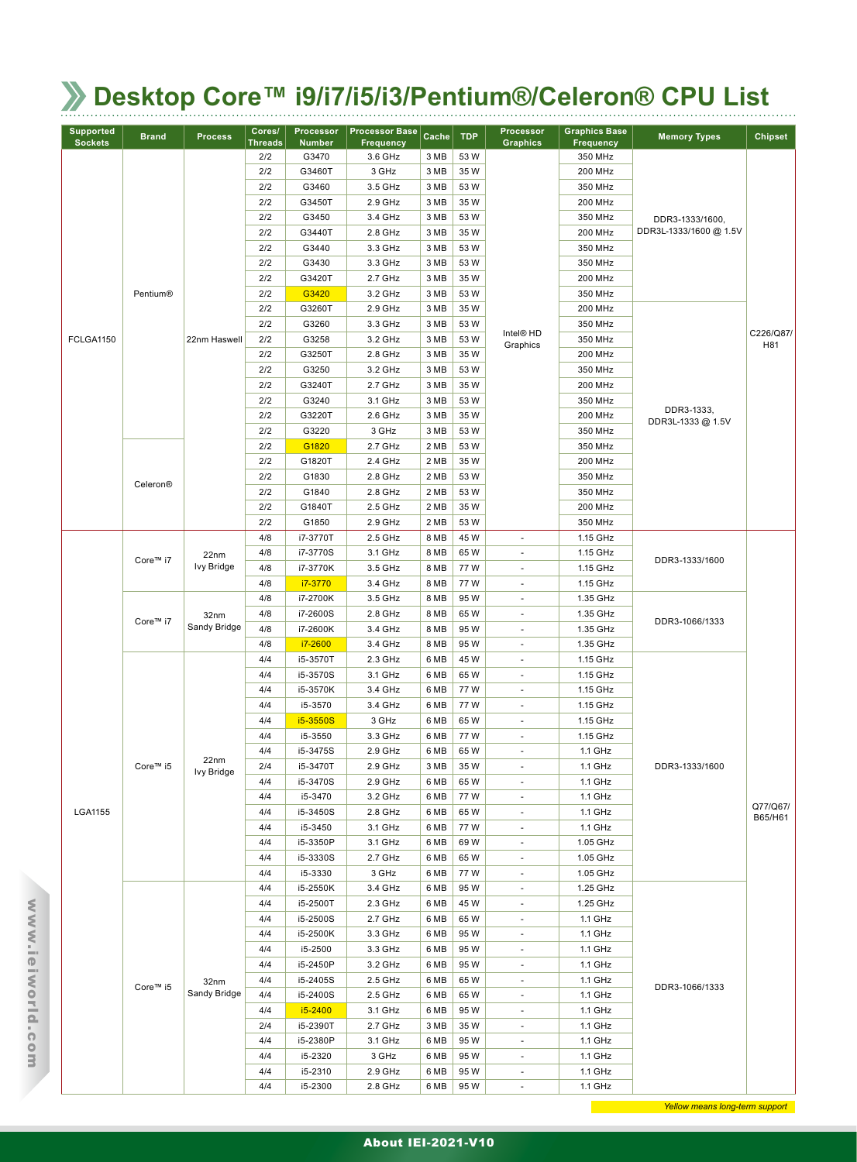| <b>Supported</b><br><b>Sockets</b> | <b>Brand</b> | <b>Process</b>            | Cores/<br><b>Threads</b> | Processor<br><b>Number</b> | <b>Processor Base</b><br><b>Frequency</b> | Cache | <b>TDP</b> | <b>Processor</b><br><b>Graphics</b> | <b>Graphics Base</b><br><b>Frequency</b> | <b>Memory Types</b>             | <b>Chipset</b>      |
|------------------------------------|--------------|---------------------------|--------------------------|----------------------------|-------------------------------------------|-------|------------|-------------------------------------|------------------------------------------|---------------------------------|---------------------|
|                                    |              |                           | 2/2                      | G3470                      | 3.6 GHz                                   | 3 MB  | 53W        |                                     | 350 MHz                                  |                                 |                     |
|                                    |              |                           | 2/2                      | G3460T                     | 3 GHz                                     | 3 MB  | 35W        |                                     | 200 MHz                                  |                                 |                     |
|                                    |              |                           | 2/2                      | G3460                      | 3.5 GHz                                   | 3 MB  | 53W        |                                     | 350 MHz                                  |                                 |                     |
|                                    |              |                           | 2/2                      | G3450T                     | 2.9 GHz                                   | 3 MB  | 35W        |                                     | 200 MHz                                  |                                 |                     |
|                                    |              |                           | 2/2                      | G3450                      | 3.4 GHz                                   | 3 MB  | 53W        |                                     | 350 MHz                                  | DDR3-1333/1600,                 |                     |
|                                    |              |                           | 2/2                      | G3440T                     | 2.8 GHz                                   | 3 MB  | 35W        |                                     | 200 MHz                                  | DDR3L-1333/1600 @ 1.5V          |                     |
|                                    |              |                           | 2/2                      | G3440                      | 3.3 GHz                                   | 3 MB  | 53W        |                                     | 350 MHz                                  |                                 |                     |
|                                    |              |                           | 2/2                      | G3430                      | 3.3 GHz                                   | 3 MB  | 53W        |                                     | 350 MHz                                  |                                 |                     |
|                                    |              |                           | 2/2                      | G3420T                     | 2.7 GHz                                   | 3 MB  | 35W        |                                     | 200 MHz                                  |                                 |                     |
|                                    | Pentium®     |                           | 2/2                      | G3420                      | 3.2 GHz                                   | 3 MB  | 53 W       |                                     | 350 MHz                                  |                                 |                     |
|                                    |              |                           | 2/2                      | G3260T                     | 2.9 GHz                                   | 3 MB  | 35 W       |                                     | 200 MHz                                  |                                 |                     |
|                                    |              |                           | 2/2                      | G3260                      | 3.3 GHz                                   | 3 MB  | 53W        |                                     | 350 MHz                                  |                                 |                     |
| FCLGA1150                          |              | 22nm Haswell              | 2/2                      | G3258                      | 3.2 GHz                                   | 3 MB  | 53W        | Intel <sup>®</sup> HD<br>Graphics   | 350 MHz                                  |                                 | C226/Q87/<br>H81    |
|                                    |              |                           | 2/2                      | G3250T                     | 2.8 GHz                                   | 3 MB  | 35W        |                                     | 200 MHz                                  |                                 |                     |
|                                    |              |                           | 2/2                      | G3250                      | 3.2 GHz                                   | 3 MB  | 53W        |                                     | 350 MHz                                  |                                 |                     |
|                                    |              |                           | 2/2                      | G3240T                     | 2.7 GHz                                   | 3 MB  | 35W        |                                     | 200 MHz                                  |                                 |                     |
|                                    |              |                           | 2/2                      | G3240                      | 3.1 GHz                                   | 3 MB  | 53W        |                                     | 350 MHz                                  |                                 |                     |
|                                    |              |                           | 2/2                      | G3220T                     | 2.6 GHz                                   | 3 MB  | 35W        |                                     | 200 MHz                                  | DDR3-1333,<br>DDR3L-1333 @ 1.5V |                     |
|                                    |              |                           | 2/2                      | G3220                      | 3 GHz                                     | 3 MB  | 53 W       |                                     | 350 MHz                                  |                                 |                     |
|                                    |              |                           | 2/2                      | G1820                      | 2.7 GHz                                   | 2 MB  | 53W        |                                     | 350 MHz                                  |                                 |                     |
|                                    |              |                           | 2/2                      | G1820T                     | 2.4 GHz                                   | 2 MB  | 35W        |                                     | 200 MHz                                  |                                 |                     |
|                                    | Celeron®     |                           | 2/2                      | G1830                      | 2.8 GHz                                   | 2 MB  | 53W        |                                     | 350 MHz                                  |                                 |                     |
|                                    |              |                           | 2/2                      | G1840                      | 2.8 GHz                                   | 2 MB  | 53W        |                                     | 350 MHz                                  |                                 |                     |
|                                    |              |                           | 2/2                      | G1840T                     | 2.5 GHz                                   | 2 MB  | 35 W       |                                     | 200 MHz                                  |                                 |                     |
|                                    |              |                           | 2/2                      | G1850                      | 2.9 GHz                                   | 2 MB  | 53 W       |                                     | 350 MHz                                  |                                 |                     |
|                                    |              |                           | 4/8                      | i7-3770T                   | 2.5 GHz                                   | 8 MB  | 45 W       | $\mathcal{L}_{\mathcal{A}}$         | 1.15 GHz                                 |                                 |                     |
|                                    | Core™ i7     | 22nm                      | 4/8                      | i7-3770S                   | 3.1 GHz                                   | 8 MB  | 65 W       | $\overline{\phantom{a}}$            | 1.15 GHz                                 |                                 |                     |
|                                    |              | Ivy Bridge                | 4/8                      | i7-3770K                   | 3.5 GHz                                   | 8 MB  | 77W        | ÷.                                  | 1.15 GHz                                 | DDR3-1333/1600                  |                     |
|                                    |              |                           | 4/8                      | i7-3770                    | 3.4 GHz                                   | 8 MB  | 77W        | $\overline{\phantom{a}}$            | 1.15 GHz                                 |                                 |                     |
|                                    |              | 32nm<br>Sandy Bridge      | 4/8                      | i7-2700K                   | 3.5 GHz                                   | 8 MB  | 95W        | ×.                                  | 1.35 GHz                                 |                                 |                     |
|                                    | Core™ i7     |                           | 4/8                      | i7-2600S                   | 2.8 GHz                                   | 8 MB  | 65W        | $\overline{\phantom{a}}$            | 1.35 GHz                                 |                                 |                     |
|                                    |              |                           | 4/8                      | i7-2600K                   | 3.4 GHz                                   | 8 MB  | 95W        | $\sim$                              | 1.35 GHz                                 | DDR3-1066/1333                  |                     |
|                                    |              |                           | 4/8                      | i7-2600                    | 3.4 GHz                                   | 8 MB  | 95W        | $\sim$                              | 1.35 GHz                                 |                                 |                     |
|                                    |              |                           | 4/4                      | i5-3570T                   | 2.3 GHz                                   | 6 MB  | 45W        | $\overline{\phantom{a}}$            | 1.15 GHz                                 |                                 |                     |
|                                    |              |                           | 4/4                      | i5-3570S                   | 3.1 GHz                                   | 6 MB  | 65 W       | $\overline{\phantom{a}}$            | 1.15 GHz                                 |                                 |                     |
|                                    |              |                           | 4/4                      | i5-3570K                   | 3.4 GHz                                   | 6 MB  | 77 W       | $\overline{\phantom{a}}$            | 1.15 GHz                                 |                                 |                     |
|                                    |              |                           | 4/4                      | i5-3570                    | 3.4 GHz                                   | 6 MB  | 77 W       | $\overline{\phantom{a}}$            | 1.15 GHz                                 |                                 |                     |
|                                    |              |                           | 4/4                      | i5-3550S                   | 3 GHz                                     | 6 MB  | 65W        | $\overline{\phantom{a}}$            | 1.15 GHz                                 |                                 |                     |
|                                    |              |                           | 4/4                      | i5-3550                    | 3.3 GHz                                   | 6 MB  | 77 W       | ÷.                                  | 1.15 GHz                                 |                                 |                     |
|                                    |              |                           | 4/4                      | i5-3475S                   | 2.9 GHz                                   | 6 MB  | 65 W       | $\overline{\phantom{a}}$            | 1.1 GHz                                  |                                 |                     |
|                                    | Core™ i5     | 22nm<br><b>Ivy Bridge</b> | 2/4                      | i5-3470T                   | 2.9 GHz                                   | 3 MB  | 35 W       | $\overline{\phantom{a}}$            | 1.1 GHz                                  | DDR3-1333/1600                  |                     |
|                                    |              |                           | 4/4                      | i5-3470S                   | 2.9 GHz                                   | 6 MB  | 65 W       | $\overline{\phantom{a}}$            | 1.1 GHz                                  |                                 |                     |
|                                    |              |                           | 4/4                      | i5-3470                    | 3.2 GHz                                   | 6 MB  | 77W        | $\overline{\phantom{a}}$            | 1.1 GHz                                  |                                 |                     |
| LGA1155                            |              |                           | 4/4                      | i5-3450S                   | 2.8 GHz                                   | 6 MB  | 65 W       | $\overline{\phantom{a}}$            | 1.1 GHz                                  |                                 | Q77/Q67/<br>B65/H61 |
|                                    |              |                           | 4/4                      | i5-3450                    | 3.1 GHz                                   | 6 MB  | 77W        | $\overline{\phantom{a}}$            | 1.1 GHz                                  |                                 |                     |
|                                    |              |                           | 4/4                      | i5-3350P                   | 3.1 GHz                                   | 6 MB  | 69 W       | $\overline{\phantom{a}}$            | 1.05 GHz                                 |                                 |                     |
|                                    |              |                           | 4/4                      | i5-3330S                   | 2.7 GHz                                   | 6 MB  | 65W        | $\overline{\phantom{a}}$            | 1.05 GHz                                 |                                 |                     |
|                                    |              |                           | 4/4                      | i5-3330                    | 3 GHz                                     | 6 MB  | 77 W       | $\overline{\phantom{a}}$            | 1.05 GHz                                 |                                 |                     |
|                                    |              |                           | 4/4                      | i5-2550K                   | 3.4 GHz                                   | 6 MB  | 95W        | $\overline{\phantom{a}}$            | 1.25 GHz                                 |                                 |                     |
|                                    |              |                           | 4/4                      | i5-2500T                   | 2.3 GHz                                   | 6 MB  | 45 W       | $\overline{\phantom{a}}$            | 1.25 GHz                                 |                                 |                     |
|                                    |              |                           | 4/4                      | i5-2500S                   | 2.7 GHz                                   | 6 MB  | 65 W       | $\overline{\phantom{a}}$            | 1.1 GHz                                  |                                 |                     |
|                                    |              |                           | 4/4                      | i5-2500K                   | 3.3 GHz                                   | 6 MB  | 95 W       | $\overline{\phantom{a}}$            | 1.1 GHz                                  |                                 |                     |
|                                    |              |                           | 4/4                      | i5-2500                    | 3.3 GHz                                   | 6 MB  | 95 W       | $\sim$                              | 1.1 GHz                                  |                                 |                     |
|                                    |              |                           | 4/4                      | i5-2450P                   | 3.2 GHz                                   | 6 MB  | 95 W       | $\overline{\phantom{a}}$            | 1.1 GHz                                  |                                 |                     |
|                                    | 32nm         | 4/4                       | i5-2405S                 | 2.5 GHz                    | 6 MB                                      | 65 W  | ٠          | 1.1 GHz                             | DDR3-1066/1333                           |                                 |                     |
|                                    | Core™ i5     | Sandy Bridge              | 4/4                      | i5-2400S                   | 2.5 GHz                                   | 6 MB  | 65 W       | $\overline{\phantom{a}}$            | 1.1 GHz                                  |                                 |                     |
|                                    |              |                           | 4/4                      | i5-2400                    | 3.1 GHz                                   | 6 MB  | 95W        | $\overline{\phantom{a}}$            | 1.1 GHz                                  |                                 |                     |
|                                    |              |                           | 2/4                      | i5-2390T                   | 2.7 GHz                                   | 3 MB  | 35 W       | $\overline{\phantom{a}}$            | 1.1 GHz                                  |                                 |                     |
|                                    |              |                           | 4/4                      | i5-2380P                   | 3.1 GHz                                   | 6 MB  | 95 W       | $\sim$                              | 1.1 GHz                                  |                                 |                     |
|                                    |              |                           | 4/4                      | i5-2320                    | 3 GHz                                     | 6 MB  | 95W        | $\overline{\phantom{a}}$            | 1.1 GHz                                  |                                 |                     |
|                                    |              |                           | 4/4                      | i5-2310                    | 2.9 GHz                                   | 6 MB  | 95 W       | ٠                                   | 1.1 GHz                                  |                                 |                     |
|                                    |              |                           | 4/4                      | i5-2300                    | 2.8 GHz                                   | 6 MB  | 95W        | $\overline{\phantom{a}}$            | 1.1 GHz                                  |                                 |                     |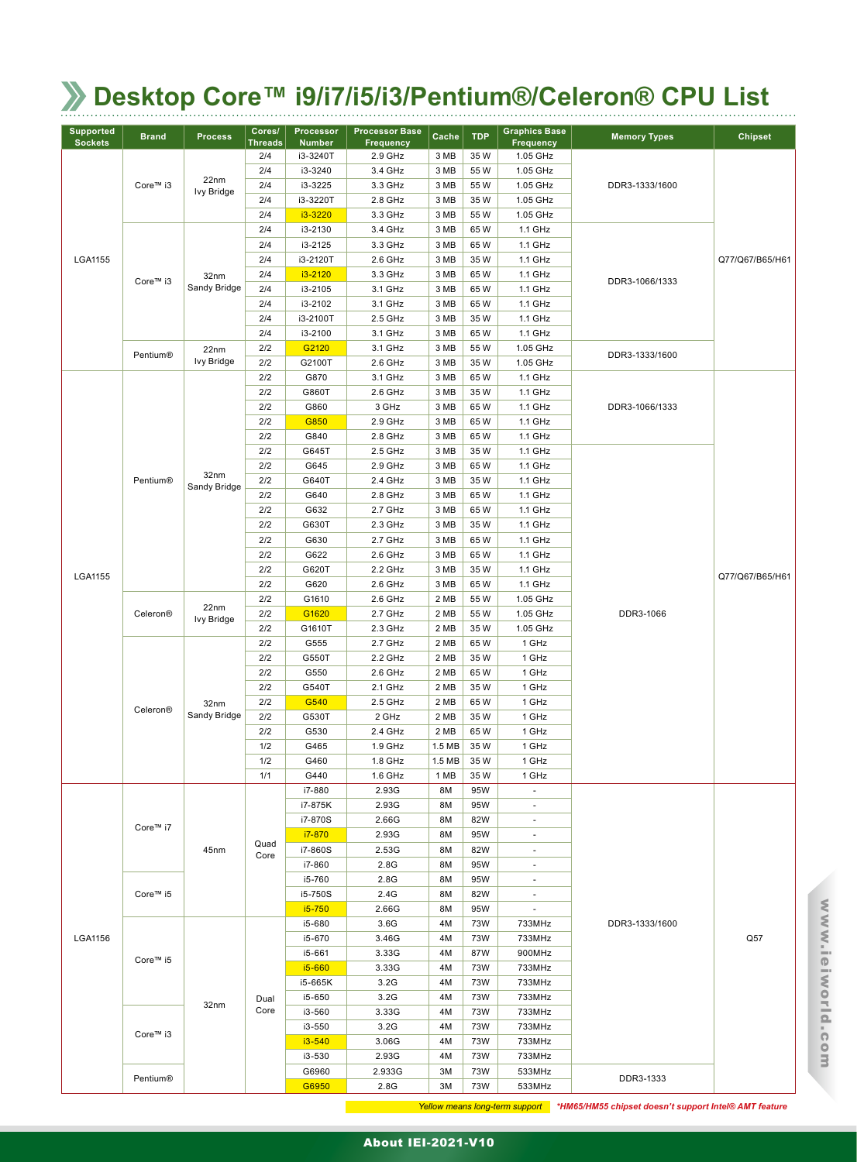| <b>Supported</b><br><b>Sockets</b> | <b>Brand</b> | <b>Process</b>       | Cores/<br><b>Threads</b> | <b>Processor</b><br><b>Number</b> | <b>Processor Base</b><br><b>Frequency</b> | Cache             | <b>TDP</b>  | <b>Graphics Base</b><br><b>Frequency</b> | <b>Memory Types</b> | <b>Chipset</b>  |
|------------------------------------|--------------|----------------------|--------------------------|-----------------------------------|-------------------------------------------|-------------------|-------------|------------------------------------------|---------------------|-----------------|
|                                    |              |                      | 2/4                      | i3-3240T                          | 2.9 GHz                                   | 3 MB              | 35W         | 1.05 GHz                                 |                     |                 |
|                                    |              |                      | 2/4                      | i3-3240                           | 3.4 GHz                                   | 3 MB              | 55 W        | 1.05 GHz                                 |                     |                 |
|                                    | Core™ i3     | 22nm                 | 2/4                      | i3-3225                           | 3.3 GHz                                   | 3 MB              | 55 W        | 1.05 GHz                                 | DDR3-1333/1600      |                 |
|                                    |              | Ivy Bridge           | 2/4                      | i3-3220T                          | 2.8 GHz                                   | 3 MB              | 35 W        | 1.05 GHz                                 |                     |                 |
|                                    |              |                      | 2/4                      | i3-3220                           | 3.3 GHz                                   | 3 MB              | 55 W        | 1.05 GHz                                 |                     |                 |
|                                    |              |                      | 2/4                      | i3-2130                           | 3.4 GHz                                   | 3 MB              | 65W         | 1.1 GHz                                  |                     |                 |
|                                    |              |                      | 2/4                      | i3-2125                           | 3.3 GHz                                   | 3 MB              | 65W         | 1.1 GHz                                  |                     |                 |
| LGA1155                            |              |                      | 2/4                      | i3-2120T                          | 2.6 GHz                                   | 3 MB              | 35W         | 1.1 GHz                                  |                     | Q77/Q67/B65/H61 |
|                                    | Core™ i3     | 32nm                 | 2/4                      | i3-2120                           | 3.3 GHz                                   | 3 MB              | 65W         | 1.1 GHz                                  |                     |                 |
|                                    |              | Sandy Bridge         | 2/4                      | i3-2105                           | 3.1 GHz                                   | 3 MB              | 65 W        | 1.1 GHz                                  | DDR3-1066/1333      |                 |
|                                    |              |                      | 2/4                      | i3-2102                           | 3.1 GHz                                   | 3 MB              | 65W         | 1.1 GHz                                  |                     |                 |
|                                    |              |                      | 2/4                      | i3-2100T                          | 2.5 GHz                                   | 3 MB              | 35 W        | 1.1 GHz                                  |                     |                 |
|                                    |              |                      | 2/4                      | i3-2100                           | 3.1 GHz                                   | 3 MB              | 65W         | 1.1 GHz                                  |                     |                 |
|                                    | Pentium®     | 22nm                 | 2/2                      | G2120                             | 3.1 GHz                                   | 3 MB              | 55 W        | 1.05 GHz                                 | DDR3-1333/1600      |                 |
|                                    |              | Ivy Bridge           | 2/2                      | G2100T                            | 2.6 GHz                                   | 3 MB              | 35W         | 1.05 GHz                                 |                     |                 |
|                                    |              |                      | 2/2                      | G870                              | 3.1 GHz                                   | 3 MB              | 65 W        | 1.1 GHz                                  |                     |                 |
|                                    |              |                      | 2/2                      | G860T                             | 2.6 GHz                                   | 3 MB              | 35W         | 1.1 GHz                                  |                     |                 |
|                                    |              |                      | 2/2                      | G860                              | 3 GHz                                     | 3 MB              | 65W         | 1.1 GHz                                  | DDR3-1066/1333      |                 |
|                                    |              |                      | 2/2                      | G850                              | 2.9 GHz                                   | 3 MB              | 65W         | 1.1 GHz                                  |                     |                 |
|                                    |              |                      | 2/2                      | G840                              | 2.8 GHz                                   | 3 MB              | 65W         | 1.1 GHz                                  |                     |                 |
|                                    |              |                      | 2/2                      | G645T                             | 2.5 GHz                                   | 3 MB              | 35W         | 1.1 GHz                                  |                     |                 |
|                                    |              |                      | 2/2                      | G645                              | 2.9 GHz                                   | 3 MB              | 65 W        | 1.1 GHz                                  |                     |                 |
|                                    | Pentium®     | 32nm<br>Sandy Bridge | 2/2                      | G640T                             | 2.4 GHz                                   | 3 MB              | 35 W        | 1.1 GHz                                  |                     |                 |
|                                    |              |                      | 2/2                      | G640                              | 2.8 GHz                                   | 3 MB              | 65 W        | 1.1 GHz                                  |                     |                 |
|                                    |              |                      | 2/2                      | G632                              | 2.7 GHz                                   | 3 MB              | 65W         | 1.1 GHz                                  |                     |                 |
|                                    |              |                      | 2/2                      | G630T                             | 2.3 GHz                                   | 3 MB              | 35W         | 1.1 GHz                                  |                     |                 |
|                                    |              |                      | 2/2                      | G630                              | 2.7 GHz                                   | 3 MB              | 65W         | 1.1 GHz                                  |                     |                 |
|                                    |              |                      | 2/2                      | G622                              | 2.6 GHz                                   | 3 MB              | 65W         | 1.1 GHz                                  |                     |                 |
| LGA1155                            |              |                      | 2/2                      | G620T                             | 2.2 GHz                                   | 3 MB              | 35 W        | 1.1 GHz                                  |                     | Q77/Q67/B65/H61 |
|                                    |              |                      | 2/2                      | G620                              | 2.6 GHz                                   | 3 MB              | 65 W        | 1.1 GHz                                  |                     |                 |
|                                    |              | 22nm                 | 2/2                      | G1610                             | 2.6 GHz                                   | 2 MB              | 55 W        | 1.05 GHz                                 |                     |                 |
|                                    | Celeron®     | Ivy Bridge           | 2/2                      | G1620                             | 2.7 GHz                                   | 2 MB              | 55 W        | 1.05 GHz                                 | DDR3-1066           |                 |
|                                    |              |                      | 2/2                      | G1610T                            | 2.3 GHz                                   | 2 MB              | 35W         | 1.05 GHz                                 |                     |                 |
|                                    |              |                      | 2/2                      | G555                              | 2.7 GHz                                   | 2 MB              | 65W         | 1 GHz                                    |                     |                 |
|                                    |              |                      | 2/2                      | G550T                             | 2.2 GHz                                   | 2 MB              | 35W         | 1 GHz                                    |                     |                 |
|                                    |              |                      | 2/2                      | G550                              | 2.6 GHz                                   | 2 MB              | 65 W        | 1 GHz                                    |                     |                 |
|                                    |              |                      | 2/2                      | G540T                             | 2.1 GHz                                   | 2 MB              | 35W         | 1 GHz                                    |                     |                 |
|                                    | Celeron®     | 32nm<br>Sandy Bridge | 2/2                      | G540                              | 2.5 GHz                                   | 2 MB              | 65W         | 1 GHz                                    |                     |                 |
|                                    |              |                      | 2/2                      | G530T                             | 2 GHz                                     | 2 MB              | 35W         | 1 GHz                                    |                     |                 |
|                                    |              |                      | 2/2<br>1/2               | G530                              | 2.4 GHz                                   | 2 MB              | 65 W        | 1 GHz<br>1 GHz                           |                     |                 |
|                                    |              |                      |                          | G465                              | $1.9$ GHz<br>1.8 GHz                      | $1.5$ MB          | 35W         |                                          |                     |                 |
|                                    |              |                      | 1/2                      | G460                              |                                           | $1.5 \text{ MB}$  | 35W         | 1 GHz                                    |                     |                 |
|                                    |              |                      | 1/1                      | G440<br>i7-880                    | $1.6$ GHz<br>2.93G                        | 1 MB<br><b>8M</b> | 35 W<br>95W | 1 GHz<br>a.                              |                     |                 |
|                                    |              |                      |                          | i7-875K                           | 2.93G                                     | <b>8M</b>         | 95W         | $\overline{\phantom{a}}$                 |                     |                 |
|                                    |              |                      |                          | i7-870S                           | 2.66G                                     | 8M                | 82W         | $\blacksquare$                           |                     |                 |
|                                    | Core™ i7     |                      |                          | i7-870                            | 2.93G                                     | 8M                | 95W         | $\blacksquare$                           |                     |                 |
|                                    |              | 45nm                 | Quad                     | i7-860S                           | 2.53G                                     | 8M                | 82W         | $\blacksquare$                           |                     |                 |
|                                    |              |                      | Core                     | i7-860                            | 2.8G                                      | 8M                | 95W         | $\overline{\phantom{a}}$                 |                     |                 |
|                                    |              |                      |                          | i5-760                            | 2.8G                                      | 8M                | 95W         | $\overline{\phantom{a}}$                 |                     |                 |
|                                    | Core™ i5     |                      |                          | i5-750S                           | 2.4G                                      | 8M                | 82W         | $\sim$                                   |                     |                 |
|                                    |              |                      |                          | i5-750                            | 2.66G                                     | <b>8M</b>         | 95W         | $\overline{\phantom{a}}$                 |                     |                 |
|                                    |              |                      |                          | i5-680                            | 3.6G                                      | 4M                | 73W         | 733MHz                                   | DDR3-1333/1600      |                 |
| LGA1156                            |              |                      |                          | i5-670                            | 3.46G                                     | 4M                | 73W         | 733MHz                                   |                     | Q57             |
|                                    | Core™ i5     |                      |                          | i5-661                            | 3.33G                                     | 4M                | 87W         | 900MHz                                   |                     |                 |
|                                    |              |                      | i5-660                   | 3.33G                             | 4M                                        | 73W               | 733MHz      |                                          |                     |                 |
|                                    |              |                      |                          | i5-665K                           | 3.2G                                      | 4M                | 73W         | 733MHz                                   |                     |                 |
|                                    |              |                      | Dual                     | i5-650                            | 3.2G                                      | 4M                | 73W         | 733MHz                                   |                     |                 |
|                                    |              | 32nm                 | Core                     | i3-560                            | 3.33G                                     | 4M                | 73W         | 733MHz                                   |                     |                 |
|                                    |              |                      |                          | i3-550                            | 3.2G                                      | 4M                | 73W         | 733MHz                                   |                     |                 |
|                                    | Core™ i3     |                      |                          | $i3 - 540$                        | 3.06G                                     | 4M                | 73W         | 733MHz                                   |                     |                 |
|                                    |              |                      |                          |                                   | i3-530                                    | 2.93G             | 4M          | 73W                                      | 733MHz              |                 |
|                                    |              |                      |                          | G6960                             | 2.933G                                    | 3M                | 73W         | 533MHz                                   |                     |                 |
|                                    | Pentium®     |                      |                          | G6950                             | 2.8G                                      | 3M                | 73W         | 533MHz                                   | DDR3-1333           |                 |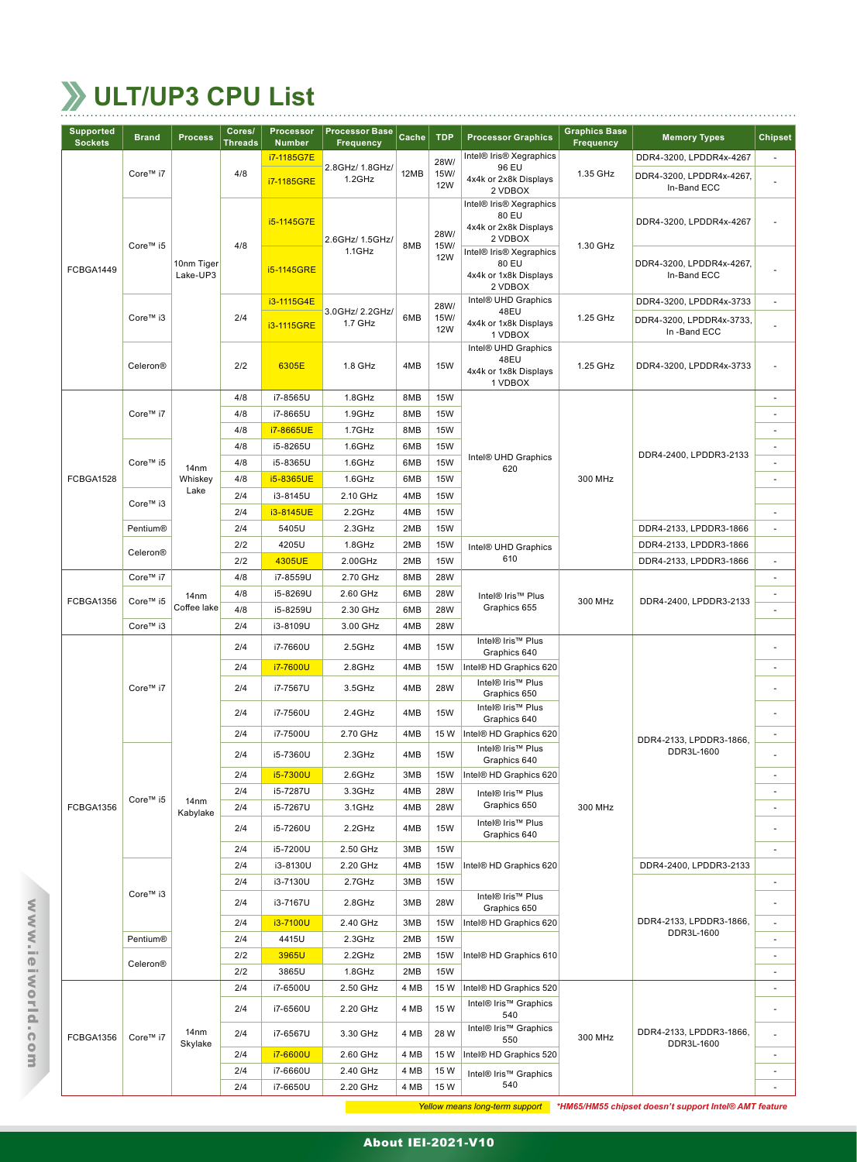# **ULT/UP3 CPU List**

| <b>Supported</b><br><b>Sockets</b> | <b>Brand</b>                                            | <b>Process</b>              | Cores/<br><b>Threads</b> | <b>Processor</b><br><b>Number</b> | <b>Processor Base</b><br><b>Frequency</b> | Cache      | <b>TDP</b>               | <b>Processor Graphics</b>                                                                       | <b>Graphics Base</b><br><b>Frequency</b> | <b>Memory Types</b>                      | <b>Chipset</b>           |    |
|------------------------------------|---------------------------------------------------------|-----------------------------|--------------------------|-----------------------------------|-------------------------------------------|------------|--------------------------|-------------------------------------------------------------------------------------------------|------------------------------------------|------------------------------------------|--------------------------|----|
|                                    |                                                         |                             |                          | i7-1185G7E                        |                                           |            | 28W/                     | Intel® Iris® Xegraphics                                                                         |                                          | DDR4-3200, LPDDR4x-4267                  | $\sim$                   |    |
|                                    | Core™ i7                                                |                             | 4/8                      | i7-1185GRE                        | 2.8GHz/ 1.8GHz/<br>1.2GHz                 | 12MB       | 15W/<br><b>12W</b>       | 96 EU<br>4x4k or 2x8k Displays<br>2 VDBOX                                                       | 1.35 GHz                                 | DDR4-3200, LPDDR4x-4267,<br>In-Band ECC  |                          |    |
|                                    | Core™ i5                                                |                             | 4/8                      | i5-1145G7E                        | 2.6GHz/ 1.5GHz/<br>$1.1$ GHz              | 8MB        | 28W/<br>15W/<br>12W      | Intel® Iris® Xegraphics<br>80 EU<br>4x4k or 2x8k Displays<br>2 VDBOX<br>Intel® Iris® Xegraphics | 1.30 GHz                                 | DDR4-3200, LPDDR4x-4267                  | ä,                       |    |
| FCBGA1449                          |                                                         | 10nm Tiger<br>Lake-UP3      |                          | i5-1145GRE                        |                                           |            |                          | 80 EU<br>4x4k or 1x8k Displays<br>2 VDBOX                                                       |                                          | DDR4-3200, LPDDR4x-4267,<br>In-Band ECC  | ÷,                       |    |
|                                    |                                                         |                             |                          | i3-1115G4E                        | 3.0GHz/2.2GHz/                            |            | 28W/                     | Intel® UHD Graphics<br>48EU                                                                     |                                          | DDR4-3200, LPDDR4x-3733                  | $\overline{\phantom{a}}$ |    |
|                                    | Core™ i3                                                |                             | 2/4                      | i3-1115GRE                        | 1.7 GHz                                   | 6MB        | 15W/<br><b>12W</b>       | 4x4k or 1x8k Displays<br>1 VDBOX                                                                | 1.25 GHz                                 | DDR4-3200, LPDDR4x-3733,<br>In -Band ECC | ÷,                       |    |
|                                    | Celeron®                                                |                             | 2/2                      | 6305E                             | 1.8 GHz                                   | 4MB        | <b>15W</b>               | Intel® UHD Graphics<br>48EU<br>4x4k or 1x8k Displays<br>1 VDBOX                                 | 1.25 GHz                                 | DDR4-3200, LPDDR4x-3733                  | $\overline{\phantom{a}}$ |    |
|                                    |                                                         |                             | 4/8                      | i7-8565U                          | $1.8$ GHz                                 | 8MB        | <b>15W</b>               |                                                                                                 |                                          |                                          | $\overline{\phantom{a}}$ |    |
|                                    | Core™ i7                                                |                             | 4/8                      | i7-8665U                          | 1.9GHz                                    | 8MB        | <b>15W</b>               |                                                                                                 |                                          |                                          | $\overline{\phantom{a}}$ |    |
|                                    |                                                         |                             | 4/8                      | i7-8665UE                         | 1.7GHz                                    | 8MB        | <b>15W</b>               |                                                                                                 |                                          |                                          | ×.                       |    |
|                                    |                                                         |                             | 4/8                      | i5-8265U                          | 1.6GHz                                    | 6MB        | <b>15W</b>               | Intel® UHD Graphics                                                                             |                                          | DDR4-2400, LPDDR3-2133                   | $\overline{\phantom{a}}$ |    |
|                                    | Core™ i5                                                | 14 <sub>nm</sub>            | 4/8                      | i5-8365U                          | 1.6GHz                                    | 6MB        | <b>15W</b>               | 620                                                                                             |                                          |                                          | ä,                       |    |
| FCBGA1528                          |                                                         | Whiskey<br>Lake             | 4/8                      | i5-8365UE                         | 1.6GHz                                    | 6MB        | <b>15W</b>               |                                                                                                 | 300 MHz                                  |                                          | $\overline{\phantom{a}}$ |    |
|                                    | Core™ i3                                                |                             | 2/4                      | i3-8145U                          | 2.10 GHz                                  | 4MB        | <b>15W</b>               |                                                                                                 |                                          |                                          |                          |    |
|                                    |                                                         |                             | 2/4                      | i3-8145UE                         | 2.2GHz                                    | 4MB        | <b>15W</b>               |                                                                                                 |                                          |                                          | ×.                       |    |
|                                    | Pentium®                                                |                             | 2/4                      | 5405U                             | 2.3GHz                                    | 2MB        | <b>15W</b>               |                                                                                                 |                                          | DDR4-2133, LPDDR3-1866                   | $\overline{\phantom{a}}$ |    |
|                                    | Celeron®                                                |                             | 2/2                      | 4205U                             | 1.8GHz                                    | 2MB        | <b>15W</b>               | Intel® UHD Graphics                                                                             |                                          | DDR4-2133, LPDDR3-1866                   |                          |    |
|                                    |                                                         |                             | 2/2                      | 4305UE                            | 2.00GHz                                   | 2MB        | <b>15W</b>               | 610                                                                                             |                                          | DDR4-2133, LPDDR3-1866                   | $\overline{\phantom{a}}$ |    |
|                                    | Core™ i7<br>14nm<br>Core™ i5<br>Coffee lake<br>Core™ i3 |                             | 4/8                      | i7-8559U                          | 2.70 GHz                                  | 8MB        | <b>28W</b>               |                                                                                                 |                                          |                                          | $\overline{\phantom{a}}$ |    |
| FCBGA1356                          |                                                         |                             | 4/8                      | i5-8269U                          | 2.60 GHz                                  | 6MB        | <b>28W</b>               | Intel® Iris™ Plus                                                                               | 300 MHz                                  | DDR4-2400, LPDDR3-2133                   | $\overline{\phantom{a}}$ |    |
|                                    |                                                         |                             | 4/8                      | i5-8259U                          | 2.30 GHz                                  | 6MB        | <b>28W</b>               | Graphics 655                                                                                    |                                          |                                          | ä,                       |    |
|                                    |                                                         |                             | 2/4                      | i3-8109U                          | 3.00 GHz                                  | 4MB        | <b>28W</b>               |                                                                                                 |                                          |                                          |                          |    |
|                                    |                                                         |                             | 2/4                      | i7-7660U                          | 2.5GHz                                    | 4MB        | <b>15W</b>               | Intel® Iris™ Plus<br>Graphics 640                                                               |                                          |                                          | ÷.                       |    |
|                                    |                                                         |                             |                          | 2/4                               | i7-7600U                                  | 2.8GHz     | 4MB                      | <b>15W</b>                                                                                      | Intel® HD Graphics 620                   |                                          |                          | ×. |
|                                    | Core™ i7                                                |                             |                          |                                   | 2/4                                       | i7-7567U   | 3.5GHz                   | 4MB                                                                                             | <b>28W</b>                               | Intel® Iris™ Plus<br>Graphics 650        |                          |    |
|                                    |                                                         |                             | 2/4                      | i7-7560U                          | 2.4GHz                                    | 4MB        | <b>15W</b>               | Intel® Iris™ Plus<br>Graphics 640                                                               |                                          |                                          | ٠                        |    |
|                                    |                                                         |                             | 2/4                      | i7-7500U                          | 2.70 GHz                                  | 4MB        | 15 W                     | Intel® HD Graphics 620                                                                          |                                          | DDR4-2133, LPDDR3-1866,                  | $\overline{\phantom{a}}$ |    |
|                                    |                                                         |                             | 2/4                      | i5-7360U                          | 2.3GHz                                    | 4MB        | <b>15W</b>               | Intel® Iris™ Plus<br>Graphics 640                                                               |                                          | DDR3L-1600                               | ×.                       |    |
|                                    |                                                         |                             | 2/4                      | i5-7300U                          | 2.6GHz                                    | 3MB        | <b>15W</b>               | Intel® HD Graphics 620                                                                          |                                          |                                          | ×.                       |    |
|                                    | Core™ i5                                                | 14 <sub>nm</sub>            | 2/4                      | i5-7287U                          | 3.3GHz                                    | 4MB        | 28W                      | Intel® Iris™ Plus<br>Graphics 650                                                               |                                          |                                          | $\overline{\phantom{a}}$ |    |
| FCBGA1356                          |                                                         | Kabylake                    | 2/4<br>2/4               | i5-7267U<br>i5-7260U              | 3.1GHz<br>2.2GHz                          | 4MB<br>4MB | <b>28W</b><br><b>15W</b> | Intel® Iris™ Plus                                                                               | 300 MHz                                  |                                          | $\overline{\phantom{a}}$ |    |
|                                    |                                                         |                             | 2/4                      | i5-7200U                          | 2.50 GHz                                  | 3MB        | <b>15W</b>               | Graphics 640                                                                                    |                                          |                                          | $\overline{\phantom{a}}$ |    |
|                                    |                                                         |                             | 2/4                      | i3-8130U                          | 2.20 GHz                                  | 4MB        | <b>15W</b>               | Intel® HD Graphics 620                                                                          |                                          | DDR4-2400, LPDDR3-2133                   |                          |    |
|                                    |                                                         |                             | 2/4                      | i3-7130U                          | 2.7GHz                                    | 3MB        | <b>15W</b>               |                                                                                                 |                                          |                                          | $\overline{\phantom{a}}$ |    |
|                                    | Core™ i3                                                |                             | 2/4                      | i3-7167U                          | 2.8GHz                                    | 3MB        | <b>28W</b>               | Intel® Iris™ Plus<br>Graphics 650                                                               |                                          |                                          | ÷.                       |    |
|                                    |                                                         |                             | 2/4                      | i3-7100U                          | 2.40 GHz                                  | 3MB        | <b>15W</b>               | Intel® HD Graphics 620                                                                          |                                          | DDR4-2133, LPDDR3-1866,                  | $\overline{\phantom{a}}$ |    |
|                                    | Pentium®                                                |                             | 2/4                      | 4415U                             | 2.3GHz                                    | 2MB        | <b>15W</b>               |                                                                                                 |                                          | DDR3L-1600                               | $\overline{\phantom{a}}$ |    |
|                                    |                                                         |                             | 2/2                      | 3965U                             | 2.2GHz                                    | 2MB        | <b>15W</b>               | Intel® HD Graphics 610                                                                          |                                          |                                          | $\overline{\phantom{a}}$ |    |
|                                    | Celeron®<br>Core™ i7<br>FCBGA1356                       |                             | 2/2                      | 3865U                             | 1.8GHz                                    | 2MB        | <b>15W</b>               |                                                                                                 |                                          |                                          | $\overline{\phantom{a}}$ |    |
|                                    |                                                         |                             | 2/4                      | i7-6500U                          | 2.50 GHz                                  | 4 MB       | 15 W                     | Intel® HD Graphics 520                                                                          |                                          |                                          | $\overline{\phantom{a}}$ |    |
|                                    |                                                         |                             | 2/4                      | i7-6560U                          | 2.20 GHz                                  | 4 MB       | 15 W                     | Intel® Iris™ Graphics<br>540                                                                    |                                          |                                          | ٠                        |    |
|                                    |                                                         | 14 <sub>nm</sub><br>Skylake | 2/4                      | i7-6567U                          | 3.30 GHz                                  | 4 MB       | 28 W                     | Intel® Iris™ Graphics<br>550                                                                    | 300 MHz                                  | DDR4-2133, LPDDR3-1866,<br>DDR3L-1600    | ÷.                       |    |
|                                    |                                                         |                             | 2/4                      | i7-6600U                          | 2.60 GHz                                  | 4 MB       | 15 W                     | Intel® HD Graphics 520                                                                          |                                          |                                          | $\overline{\phantom{a}}$ |    |
|                                    |                                                         |                             | 2/4                      | i7-6660U                          | 2.40 GHz                                  | 4 MB       | 15 W                     | Intel® Iris™ Graphics                                                                           |                                          |                                          | $\overline{\phantom{a}}$ |    |
|                                    |                                                         |                             | 2/4                      | i7-6650U                          | 2.20 GHz                                  | 4 MB       | 15 W                     | 540                                                                                             |                                          |                                          | $\overline{\phantom{a}}$ |    |

*Yellow means long-term support \*HM65/HM55 chipset doesn't support Intel® AMT feature*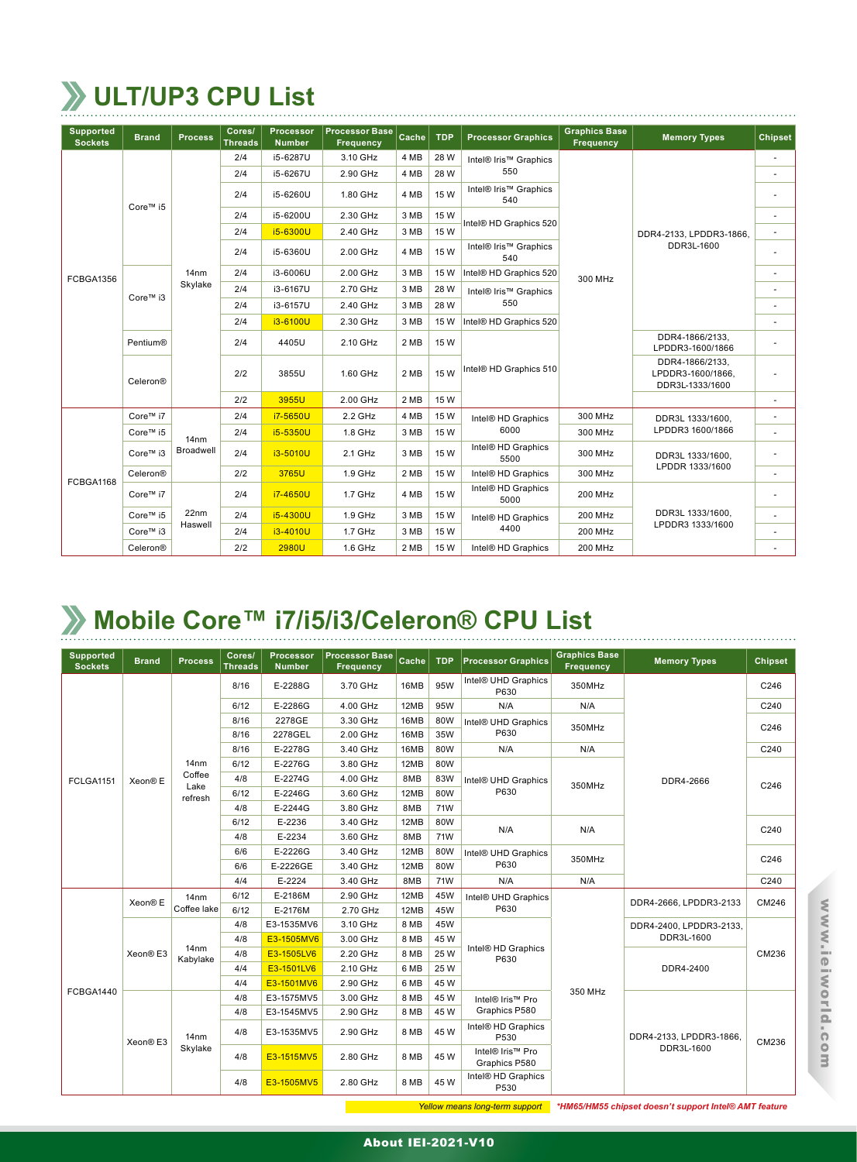## **ULT/UP3 CPU List**

| <b>Supported</b><br><b>Sockets</b> | <b>Brand</b> | <b>Process</b>   | Cores/<br><b>Threads</b> | Processor<br><b>Number</b> | <b>Processor Base</b><br><b>Frequency</b> | Cache | <b>TDP</b> | <b>Processor Graphics</b>      | <b>Graphics Base</b><br><b>Frequency</b> | <b>Memory Types</b>                                     | Chipset        |
|------------------------------------|--------------|------------------|--------------------------|----------------------------|-------------------------------------------|-------|------------|--------------------------------|------------------------------------------|---------------------------------------------------------|----------------|
|                                    | Core™ i5     |                  | 2/4                      | i5-6287U                   | 3.10 GHz                                  | 4 MB  | 28 W       | Intel® Iris™ Graphics          |                                          |                                                         | ÷.             |
|                                    |              |                  | 2/4                      | i5-6267U                   | 2.90 GHz                                  | 4 MB  | 28 W       | 550                            |                                          | DDR4-2133, LPDDR3-1866,<br>DDR3L-1600                   |                |
|                                    |              |                  | 2/4                      | i5-6260U                   | 1.80 GHz                                  | 4 MB  | 15 W       | Intel® Iris™ Graphics<br>540   |                                          |                                                         |                |
|                                    |              |                  | 2/4                      | i5-6200U                   | 2.30 GHz                                  | 3 MB  | 15 W       |                                |                                          |                                                         | ٠              |
|                                    |              |                  | 2/4                      | i5-6300U                   | 2.40 GHz                                  | 3 MB  | 15 W       | Intel® HD Graphics 520         |                                          |                                                         | ٠              |
|                                    |              |                  | 2/4                      | i5-6360U                   | 2.00 GHz                                  | 4 MB  | 15 W       | Intel® Iris™ Graphics<br>540   |                                          |                                                         | $\overline{a}$ |
| FCBGA1356                          | Core™ i3     | 14 <sub>nm</sub> | 2/4                      | i3-6006U                   | 2.00 GHz                                  | 3 MB  | 15 W       | Intel® HD Graphics 520         | 300 MHz                                  |                                                         | ٠              |
|                                    |              | Skylake          | 2/4                      | i3-6167U                   | 2.70 GHz                                  | 3 MB  | 28 W       | Intel® Iris™ Graphics          |                                          |                                                         |                |
|                                    |              |                  | 2/4                      | i3-6157U                   | 2.40 GHz                                  | 3 MB  | 28 W       | 550                            |                                          |                                                         | ٠              |
|                                    |              |                  | 2/4                      | i3-6100U                   | 2.30 GHz                                  | 3 MB  | 15 W       | Intel® HD Graphics 520         |                                          |                                                         | ٠              |
|                                    | Pentium®     |                  | 2/4                      | 4405U                      | 2.10 GHz                                  | 2 MB  | 15 W       |                                |                                          | DDR4-1866/2133.<br>LPDDR3-1600/1866                     |                |
|                                    | Celeron®     |                  | 2/2                      | 3855U                      | 1.60 GHz                                  | 2 MB  | 15 W       | Intel® HD Graphics 510         |                                          | DDR4-1866/2133.<br>LPDDR3-1600/1866.<br>DDR3L-1333/1600 |                |
|                                    |              |                  | 2/2                      | 3955U                      | 2.00 GHz                                  | 2 MB  | 15 W       |                                |                                          |                                                         |                |
|                                    | Core™ i7     |                  | 2/4                      | i7-5650U                   | 2.2 GHz                                   | 4 MB  | 15 W       | Intel® HD Graphics             | 300 MHz                                  | DDR3L 1333/1600,                                        | ٠              |
|                                    | Core™ i5     | 14 <sub>nm</sub> | 2/4                      | i5-5350U                   | 1.8 GHz                                   | 3 MB  | 15 W       | 6000                           | 300 MHz                                  | LPDDR3 1600/1866                                        |                |
| FCBGA1168                          | Core™ i3     | Broadwell        | 2/4                      | i3-5010U                   | 2.1 GHz                                   | 3 MB  | 15 W       | Intel® HD Graphics<br>5500     | 300 MHz                                  | DDR3L 1333/1600,                                        |                |
|                                    | Celeron®     |                  | 2/2                      | 3765U                      | 1.9 GHz                                   | 2 MB  | 15 W       | Intel <sup>®</sup> HD Graphics | 300 MHz                                  | LPDDR 1333/1600                                         | ٠              |
|                                    | Core™ i7     |                  | 2/4                      | i7-4650U                   | 1.7 GHz                                   | 4 MB  | 15 W       | Intel® HD Graphics<br>5000     | <b>200 MHz</b>                           |                                                         | ٠              |
|                                    | Core™ i5     | 22nm             | 2/4                      | i5-4300U                   | $1.9$ GHz                                 | 3 MB  | 15 W       | Intel® HD Graphics             | <b>200 MHz</b>                           | DDR3L 1333/1600.                                        | $\sim$         |
|                                    | Core™ i3     | Haswell          | 2/4                      | i3-4010U                   | 1.7 GHz                                   | 3 MB  | 15 W       | 4400                           | <b>200 MHz</b>                           | LPDDR3 1333/1600                                        | ٠              |
|                                    | Celeron®     |                  | 2/2                      | 2980U                      | 1.6 GHz                                   | 2 MB  | 15 W       | Intel® HD Graphics             | <b>200 MHz</b>                           |                                                         |                |

#### **Mobile Core™ i7/i5/i3/Celeron® CPU List**

| <b>Supported</b><br><b>Sockets</b> | <b>Brand</b> | <b>Process</b>               | Cores/<br><b>Threads</b> | <b>Processor</b><br><b>Number</b> | <b>Processor Base</b><br><b>Frequency</b> | Cache | <b>TDP</b> | <b>Processor Graphics</b>         | <b>Graphics Base</b><br>Frequency | <b>Memory Types</b>     | <b>Chipset</b> |
|------------------------------------|--------------|------------------------------|--------------------------|-----------------------------------|-------------------------------------------|-------|------------|-----------------------------------|-----------------------------------|-------------------------|----------------|
|                                    |              |                              | 8/16                     | E-2288G                           | 3.70 GHz                                  | 16MB  | 95W        | Intel® UHD Graphics<br>P630       | 350MHz                            |                         | C246           |
|                                    |              |                              | 6/12                     | E-2286G                           | 4.00 GHz                                  | 12MB  | 95W        | N/A                               | N/A                               |                         | C240           |
|                                    |              |                              | 8/16                     | 2278GE                            | 3.30 GHz                                  | 16MB  | 80W        | Intel® UHD Graphics               | 350MHz                            |                         | C246           |
|                                    |              |                              | 8/16                     | 2278GEL                           | 2.00 GHz                                  | 16MB  | 35W        | P630                              |                                   |                         |                |
|                                    |              |                              | 8/16                     | E-2278G                           | 3.40 GHz                                  | 16MB  | 80W        | N/A                               | N/A                               |                         | C240           |
|                                    |              | 14 <sub>nm</sub>             | 6/12                     | E-2276G                           | 3.80 GHz                                  | 12MB  | 80W        |                                   |                                   |                         |                |
| <b>FCLGA1151</b>                   | Xeon® E      | Coffee<br>Lake<br>refresh    | 4/8                      | E-2274G                           | 4.00 GHz                                  | 8MB   | 83W        | Intel® UHD Graphics               |                                   | DDR4-2666               |                |
|                                    |              |                              | 6/12                     | E-2246G                           | 3.60 GHz                                  | 12MB  | 80W        | P630                              | 350MHz                            |                         | C246           |
|                                    |              |                              | 4/8                      | E-2244G                           | 3.80 GHz                                  | 8MB   | <b>71W</b> |                                   |                                   |                         |                |
|                                    |              |                              | 6/12                     | E-2236                            | 3.40 GHz                                  | 12MB  | 80W        | N/A                               | N/A                               |                         | C240           |
|                                    |              |                              | 4/8                      | E-2234                            | 3.60 GHz                                  | 8MB   | <b>71W</b> |                                   |                                   |                         |                |
|                                    |              |                              | 6/6                      | E-2226G                           | 3.40 GHz                                  | 12MB  | 80W        | Intel® UHD Graphics               | 350MHz                            |                         | C246           |
|                                    |              |                              | 6/6                      | E-2226GE                          | 3.40 GHz                                  | 12MB  | 80W        | P630                              |                                   |                         |                |
|                                    |              |                              | 4/4                      | E-2224                            | 3.40 GHz                                  | 8MB   | <b>71W</b> | N/A                               | N/A                               |                         | C240           |
|                                    | Xeon® E      | 14 <sub>nm</sub>             | 6/12                     | E-2186M                           | 2.90 GHz                                  | 12MB  | 45W        | Intel® UHD Graphics               |                                   | DDR4-2666, LPDDR3-2133  | CM246          |
|                                    |              | Coffee lake                  | 6/12                     | E-2176M                           | 2.70 GHz                                  | 12MB  | 45W        | P630                              |                                   |                         |                |
|                                    |              |                              | 4/8                      | E3-1535MV6                        | 3.10 GHz                                  | 8 MB  | 45W        |                                   |                                   | DDR4-2400, LPDDR3-2133, | CM236          |
|                                    |              |                              | 4/8                      | E3-1505MV6                        | 3.00 GHz                                  | 8 MB  | 45 W       |                                   |                                   | DDR3L-1600              |                |
|                                    | Xeon® E3     | 14 <sub>nm</sub><br>Kabylake | 4/8                      | E3-1505LV6                        | 2.20 GHz                                  | 8 MB  | 25 W       | Intel® HD Graphics<br>P630        |                                   |                         |                |
|                                    |              |                              | 4/4                      | E3-1501LV6                        | 2.10 GHz                                  | 6 MB  | 25 W       |                                   |                                   | DDR4-2400               |                |
|                                    |              |                              | 4/4                      | E3-1501MV6                        | 2.90 GHz                                  | 6 MB  | 45 W       |                                   |                                   |                         |                |
| FCBGA1440                          |              |                              | 4/8                      | E3-1575MV5                        | 3.00 GHz                                  | 8 MB  | 45 W       | Intel® Iris™ Pro                  | 350 MHz                           |                         | CM236          |
|                                    |              |                              | 4/8                      | E3-1545MV5                        | 2.90 GHz                                  | 8 MB  | 45 W       | Graphics P580                     |                                   |                         |                |
|                                    | Xeon® E3     | 14 <sub>nm</sub>             | 4/8                      | E3-1535MV5                        | 2.90 GHz                                  | 8 MB  | 45 W       | Intel® HD Graphics<br>P530        |                                   | DDR4-2133, LPDDR3-1866, |                |
|                                    |              | Skylake                      | 4/8                      | E3-1515MV5                        | 2.80 GHz                                  | 8 MB  | 45 W       | Intel® Iris™ Pro<br>Graphics P580 |                                   | DDR3L-1600              |                |
|                                    |              |                              | 4/8                      | E3-1505MV5                        | 2.80 GHz                                  | 8 MB  | 45 W       | Intel® HD Graphics<br>P530        |                                   |                         |                |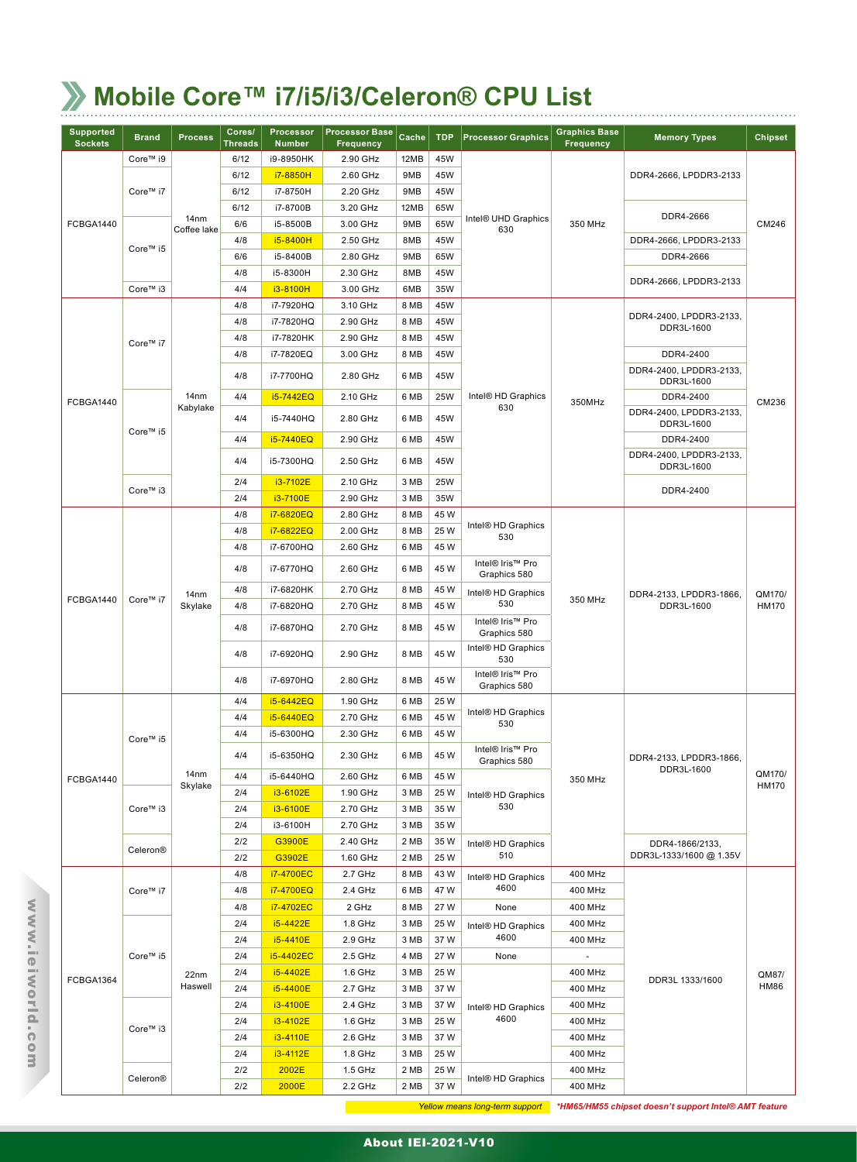## **Mobile Core™ i7/i5/i3/Celeron® CPU List**

| <b>Supported</b><br><b>Sockets</b> | <b>Brand</b> | <b>Process</b>   | Cores/<br><b>Threads</b> | <b>Processor</b><br><b>Number</b> | <b>Processor Base</b><br><b>Frequency</b> | Cache | <b>TDP</b> | <b>Processor Graphics</b>        | <b>Graphics Base</b><br><b>Frequency</b> | <b>Memory Types</b>                   | <b>Chipset</b>         |
|------------------------------------|--------------|------------------|--------------------------|-----------------------------------|-------------------------------------------|-------|------------|----------------------------------|------------------------------------------|---------------------------------------|------------------------|
|                                    | Core™ i9     |                  | 6/12                     | i9-8950HK                         | 2.90 GHz                                  | 12MB  | 45W        |                                  |                                          |                                       |                        |
| FCBGA1440                          |              |                  | 6/12                     | i7-8850H                          | 2.60 GHz                                  | 9MB   | 45W        |                                  |                                          | DDR4-2666, LPDDR3-2133                |                        |
|                                    | Core™ i7     |                  | 6/12                     | i7-8750H                          | 2.20 GHz                                  | 9MB   | 45W        |                                  |                                          |                                       |                        |
|                                    |              |                  | 6/12                     | i7-8700B                          | 3.20 GHz                                  | 12MB  | 65W        |                                  |                                          | DDR4-2666                             |                        |
|                                    | Core™ i5     | 14 <sub>nm</sub> | 6/6                      | i5-8500B                          | 3.00 GHz                                  | 9MB   | 65W        | Intel® UHD Graphics              | 350 MHz                                  |                                       | CM246                  |
|                                    |              | Coffee lake      | 4/8                      | i5-8400H                          | 2.50 GHz                                  | 8MB   | 45W        | 630                              |                                          | DDR4-2666, LPDDR3-2133                |                        |
|                                    |              |                  | 6/6                      | i5-8400B                          | 2.80 GHz                                  | 9MB   | 65W        |                                  |                                          | DDR4-2666                             |                        |
|                                    |              |                  | 4/8                      | i5-8300H                          | 2.30 GHz                                  | 8MB   | 45W        |                                  |                                          |                                       |                        |
|                                    | Core™ i3     |                  | 4/4                      | i3-8100H                          | 3.00 GHz                                  | 6MB   | 35W        |                                  |                                          | DDR4-2666, LPDDR3-2133                |                        |
|                                    |              |                  | 4/8                      | i7-7920HQ                         | 3.10 GHz                                  | 8 MB  | 45W        |                                  |                                          |                                       |                        |
|                                    |              |                  | 4/8                      | i7-7820HQ                         | 2.90 GHz                                  | 8 MB  | 45W        |                                  |                                          | DDR4-2400, LPDDR3-2133,<br>DDR3L-1600 |                        |
|                                    | Core™ i7     |                  | 4/8                      | i7-7820HK                         | 2.90 GHz                                  | 8 MB  | 45W        |                                  |                                          | DDR4-2400                             |                        |
|                                    |              |                  | 4/8                      | i7-7820EQ                         | 3.00 GHz                                  | 8 MB  | 45W        |                                  |                                          |                                       |                        |
|                                    |              |                  | 4/8                      | i7-7700HQ                         | 2.80 GHz                                  | 6 MB  | 45W        |                                  |                                          | DDR4-2400, LPDDR3-2133,<br>DDR3L-1600 | CM236                  |
| FCBGA1440                          |              | 14nm             | 4/4                      | i5-7442EQ                         | 2.10 GHz                                  | 6 MB  | 25W        | Intel® HD Graphics               | 350MHz                                   | DDR4-2400                             |                        |
|                                    |              | Kabylake         | 4/4                      | i5-7440HQ                         | 2.80 GHz                                  | 6 MB  | 45W        | 630                              |                                          | DDR4-2400, LPDDR3-2133,<br>DDR3L-1600 |                        |
|                                    | Core™ i5     |                  | 4/4                      | i5-7440EQ                         | 2.90 GHz                                  | 6 MB  | 45W        |                                  |                                          | DDR4-2400                             |                        |
|                                    |              |                  | 4/4                      | i5-7300HQ                         | 2.50 GHz                                  | 6 MB  | 45W        |                                  |                                          | DDR4-2400, LPDDR3-2133,<br>DDR3L-1600 |                        |
|                                    |              |                  | 2/4                      | i3-7102E                          | 2.10 GHz                                  | 3 MB  | 25W        |                                  |                                          |                                       |                        |
|                                    | Core™ i3     |                  | 2/4                      | i3-7100E                          | 2.90 GHz                                  | 3 MB  | 35W        |                                  |                                          | DDR4-2400                             |                        |
|                                    |              |                  | 4/8                      | i7-6820EQ                         | 2.80 GHz                                  | 8 MB  | 45 W       | Intel® HD Graphics<br>530        |                                          |                                       |                        |
| FCBGA1440                          |              |                  | 4/8                      | i7-6822EQ                         | 2.00 GHz                                  | 8 MB  | 25 W       |                                  |                                          |                                       | QM170/<br><b>HM170</b> |
|                                    |              |                  | 4/8                      | i7-6700HQ                         | 2.60 GHz                                  | 6 MB  | 45 W       |                                  | 350 MHz                                  |                                       |                        |
|                                    |              |                  | 4/8                      | i7-6770HQ                         | 2.60 GHz                                  | 6 MB  | 45 W       | Intel® Iris™ Pro<br>Graphics 580 |                                          | DDR4-2133, LPDDR3-1866,<br>DDR3L-1600 |                        |
|                                    |              |                  | 4/8                      | i7-6820HK                         | 2.70 GHz                                  | 8 MB  | 45 W       | Intel® HD Graphics               |                                          |                                       |                        |
|                                    | Core™ i7     | 14nm<br>Skylake  | 4/8                      | i7-6820HQ                         | 2.70 GHz                                  | 8 MB  | 45 W       | 530                              |                                          |                                       |                        |
|                                    |              |                  | 4/8                      | i7-6870HQ                         | 2.70 GHz                                  | 8 MB  | 45 W       | Intel® Iris™ Pro<br>Graphics 580 |                                          |                                       |                        |
|                                    |              |                  | 4/8                      | i7-6920HQ                         | 2.90 GHz                                  | 8 MB  | 45 W       | Intel® HD Graphics               |                                          |                                       |                        |
|                                    |              |                  |                          |                                   |                                           |       |            | 530<br>Intel® Iris™ Pro          |                                          |                                       |                        |
|                                    |              |                  | 4/8                      | i7-6970HQ                         | 2.80 GHz                                  | 8 MB  | 45 W       | Graphics 580                     |                                          |                                       |                        |
|                                    | Core™ i5     |                  | 4/4                      | i5-6442EQ                         | 1.90 GHz                                  | 6 MB  | 25 W       | Intel® HD Graphics               |                                          |                                       | QM170/<br><b>HM170</b> |
|                                    |              |                  | 4/4                      | i5-6440EQ                         | 2.70 GHz                                  | 6 MB  | 45 W       | 530                              |                                          |                                       |                        |
|                                    |              |                  | 4/4                      | i5-6300HQ                         | 2.30 GHz                                  | 6 MB  | 45 W       |                                  |                                          |                                       |                        |
|                                    |              |                  | 4/4                      | i5-6350HQ                         | 2.30 GHz                                  | 6 MB  | 45 W       | Intel® Iris™ Pro<br>Graphics 580 |                                          | DDR4-2133, LPDDR3-1866,               |                        |
| FCBGA1440                          |              | 14 <sub>nm</sub> | 4/4                      | i5-6440HQ                         | 2.60 GHz                                  | 6 MB  | 45 W       |                                  | 350 MHz                                  | DDR3L-1600                            |                        |
|                                    |              | Skylake          | 2/4                      | i3-6102E                          | 1.90 GHz                                  | 3 MB  | 25 W       | Intel® HD Graphics               |                                          |                                       |                        |
|                                    | Core™ i3     |                  | 2/4                      | i3-6100E                          | 2.70 GHz                                  | 3 MB  | 35W        | 530                              |                                          |                                       |                        |
|                                    |              |                  | 2/4                      | i3-6100H                          | 2.70 GHz                                  | 3 MB  | 35 W       |                                  |                                          |                                       |                        |
|                                    | Celeron®     |                  | 2/2                      | G3900E                            | 2.40 GHz                                  | 2 MB  | 35 W       | Intel® HD Graphics               |                                          | DDR4-1866/2133,                       |                        |
|                                    |              |                  | 2/2                      | G3902E                            | 1.60 GHz                                  | 2 MB  | 25 W       | 510                              |                                          | DDR3L-1333/1600 @ 1.35V               |                        |
|                                    |              |                  | 4/8                      | i7-4700EC                         | 2.7 GHz                                   | 8 MB  | 43 W       | Intel® HD Graphics               | 400 MHz                                  |                                       |                        |
|                                    | Core™ i7     |                  | 4/8                      | i7-4700EQ                         | 2.4 GHz                                   | 6 MB  | 47 W       | 4600                             | 400 MHz                                  |                                       |                        |
|                                    |              |                  | 4/8                      | i7-4702EC                         | 2 GHz                                     | 8 MB  | 27 W       | None                             | 400 MHz                                  |                                       |                        |
|                                    |              |                  | 2/4                      | i5-4422E                          | 1.8 GHz                                   | 3 MB  | 25 W       | Intel® HD Graphics               | 400 MHz                                  |                                       |                        |
|                                    |              |                  | 2/4                      | i5-4410E                          | 2.9 GHz                                   | 3 MB  | 37 W       | 4600                             | 400 MHz                                  |                                       |                        |
|                                    | Core™ i5     |                  | 2/4                      | i5-4402EC                         | 2.5 GHz                                   | 4 MB  | 27 W       | None                             |                                          |                                       |                        |
| FCBGA1364                          |              | 22nm             | 2/4                      | i5-4402E                          | $1.6$ GHz                                 | 3 MB  | 25 W       |                                  | 400 MHz                                  | DDR3L 1333/1600                       | QM87/                  |
|                                    |              | Haswell          | 2/4                      | i5-4400E                          | 2.7 GHz                                   | 3 MB  | 37 W       |                                  | 400 MHz                                  |                                       | <b>HM86</b>            |
|                                    |              |                  | 2/4                      | i3-4100E                          | 2.4 GHz                                   | 3 MB  | 37 W       | Intel® HD Graphics               | 400 MHz                                  |                                       |                        |
|                                    | Core™ i3     |                  | 2/4                      | i3-4102E                          | 1.6 GHz                                   | 3 MB  | 25 W       | 4600                             | 400 MHz                                  |                                       |                        |
|                                    |              |                  | 2/4                      | i3-4110E                          | 2.6 GHz                                   | 3 MB  | 37 W       |                                  | 400 MHz                                  |                                       |                        |
|                                    |              |                  | 2/4                      | i3-4112E                          | 1.8 GHz                                   | 3 MB  | 25 W       |                                  | 400 MHz                                  |                                       |                        |
|                                    | Celeron®     |                  | 2/2                      | 2002E                             | 1.5 GHz                                   | 2 MB  | 25 W       | Intel® HD Graphics               | 400 MHz                                  |                                       |                        |
|                                    |              |                  | 2/2                      | 2000E                             | 2.2 GHz                                   | 2 MB  | 37W        |                                  | 400 MHz                                  |                                       |                        |